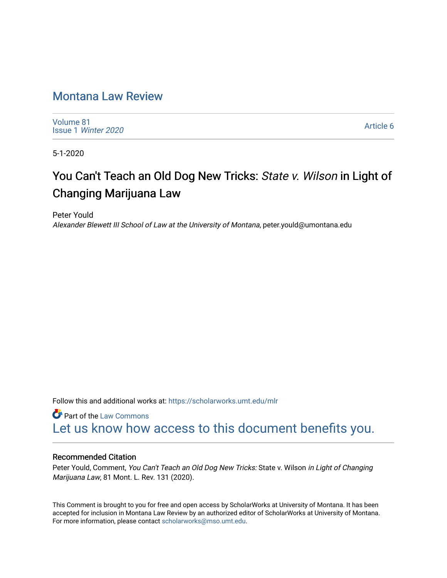# [Montana Law Review](https://scholarworks.umt.edu/mlr)

[Volume 81](https://scholarworks.umt.edu/mlr/vol81) Issue 1 [Winter 2020](https://scholarworks.umt.edu/mlr/vol81/iss1) 

[Article 6](https://scholarworks.umt.edu/mlr/vol81/iss1/6) 

5-1-2020

# You Can't Teach an Old Dog New Tricks: State v. Wilson in Light of Changing Marijuana Law

Peter Yould Alexander Blewett III School of Law at the University of Montana, peter.yould@umontana.edu

Follow this and additional works at: [https://scholarworks.umt.edu/mlr](https://scholarworks.umt.edu/mlr?utm_source=scholarworks.umt.edu%2Fmlr%2Fvol81%2Fiss1%2F6&utm_medium=PDF&utm_campaign=PDFCoverPages) 

**Part of the [Law Commons](http://network.bepress.com/hgg/discipline/578?utm_source=scholarworks.umt.edu%2Fmlr%2Fvol81%2Fiss1%2F6&utm_medium=PDF&utm_campaign=PDFCoverPages)** [Let us know how access to this document benefits you.](https://goo.gl/forms/s2rGfXOLzz71qgsB2) 

#### Recommended Citation

Peter Yould, Comment, You Can't Teach an Old Dog New Tricks: State v. Wilson in Light of Changing Marijuana Law, 81 Mont. L. Rev. 131 (2020).

This Comment is brought to you for free and open access by ScholarWorks at University of Montana. It has been accepted for inclusion in Montana Law Review by an authorized editor of ScholarWorks at University of Montana. For more information, please contact [scholarworks@mso.umt.edu.](mailto:scholarworks@mso.umt.edu)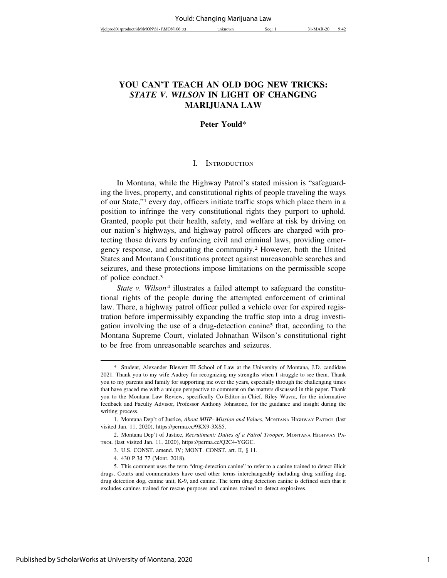## **YOU CAN'T TEACH AN OLD DOG NEW TRICKS:** *STATE V. WILSON* **IN LIGHT OF CHANGING**

#### **Peter Yould**\*

**MARIJUANA LAW**

#### I. INTRODUCTION

In Montana, while the Highway Patrol's stated mission is "safeguarding the lives, property, and constitutional rights of people traveling the ways of our State,"1 every day, officers initiate traffic stops which place them in a position to infringe the very constitutional rights they purport to uphold. Granted, people put their health, safety, and welfare at risk by driving on our nation's highways, and highway patrol officers are charged with protecting those drivers by enforcing civil and criminal laws, providing emergency response, and educating the community.2 However, both the United States and Montana Constitutions protect against unreasonable searches and seizures, and these protections impose limitations on the permissible scope of police conduct.3

*State v. Wilson*4 illustrates a failed attempt to safeguard the constitutional rights of the people during the attempted enforcement of criminal law. There, a highway patrol officer pulled a vehicle over for expired registration before impermissibly expanding the traffic stop into a drug investigation involving the use of a drug-detection canine5 that, according to the Montana Supreme Court, violated Johnathan Wilson's constitutional right to be free from unreasonable searches and seizures.

<sup>\*</sup> Student, Alexander Blewett III School of Law at the University of Montana, J.D. candidate 2021. Thank you to my wife Audrey for recognizing my strengths when I struggle to see them. Thank you to my parents and family for supporting me over the years, especially through the challenging times that have graced me with a unique perspective to comment on the matters discussed in this paper. Thank you to the Montana Law Review, specifically Co-Editor-in-Chief, Riley Wavra, for the informative feedback and Faculty Advisor, Professor Anthony Johnstone, for the guidance and insight during the writing process.

<sup>1.</sup> Montana Dep't of Justice, *About MHP- Mission and Values*, MONTANA HIGHWAY PATROL (last visited Jan. 11, 2020), https://perma.cc/9KX9-3XS5.

<sup>2.</sup> Montana Dep't of Justice, *Recruitment: Duties of a Patrol Trooper*, MONTANA HIGHWAY PA-TROL (last visited Jan. 11, 2020), https://perma.cc/Q2C4-YGGC.

<sup>3.</sup> U.S. CONST. amend. IV; MONT. CONST. art. II, § 11.

<sup>4. 430</sup> P.3d 77 (Mont. 2018).

<sup>5.</sup> This comment uses the term "drug-detection canine" to refer to a canine trained to detect illicit drugs. Courts and commentators have used other terms interchangeably including drug sniffing dog, drug detection dog, canine unit, K-9, and canine. The term drug detection canine is defined such that it excludes canines trained for rescue purposes and canines trained to detect explosives.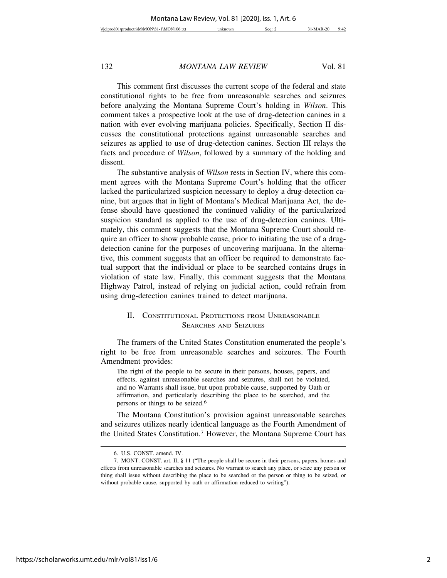This comment first discusses the current scope of the federal and state constitutional rights to be free from unreasonable searches and seizures before analyzing the Montana Supreme Court's holding in *Wilson*. This comment takes a prospective look at the use of drug-detection canines in a nation with ever evolving marijuana policies. Specifically, Section II discusses the constitutional protections against unreasonable searches and seizures as applied to use of drug-detection canines. Section III relays the facts and procedure of *Wilson*, followed by a summary of the holding and dissent.

The substantive analysis of *Wilson* rests in Section IV, where this comment agrees with the Montana Supreme Court's holding that the officer lacked the particularized suspicion necessary to deploy a drug-detection canine, but argues that in light of Montana's Medical Marijuana Act, the defense should have questioned the continued validity of the particularized suspicion standard as applied to the use of drug-detection canines. Ultimately, this comment suggests that the Montana Supreme Court should require an officer to show probable cause, prior to initiating the use of a drugdetection canine for the purposes of uncovering marijuana. In the alternative, this comment suggests that an officer be required to demonstrate factual support that the individual or place to be searched contains drugs in violation of state law. Finally, this comment suggests that the Montana Highway Patrol, instead of relying on judicial action, could refrain from using drug-detection canines trained to detect marijuana.

#### II. CONSTITUTIONAL PROTECTIONS FROM UNREASONABLE SEARCHES AND SEIZURES

The framers of the United States Constitution enumerated the people's right to be free from unreasonable searches and seizures. The Fourth Amendment provides:

The right of the people to be secure in their persons, houses, papers, and effects, against unreasonable searches and seizures, shall not be violated, and no Warrants shall issue, but upon probable cause, supported by Oath or affirmation, and particularly describing the place to be searched, and the persons or things to be seized.6

The Montana Constitution's provision against unreasonable searches and seizures utilizes nearly identical language as the Fourth Amendment of the United States Constitution.7 However, the Montana Supreme Court has

<sup>6.</sup> U.S. CONST. amend. IV.

<sup>7.</sup> MONT. CONST. art. II, § 11 ("The people shall be secure in their persons, papers, homes and effects from unreasonable searches and seizures. No warrant to search any place, or seize any person or thing shall issue without describing the place to be searched or the person or thing to be seized, or without probable cause, supported by oath or affirmation reduced to writing").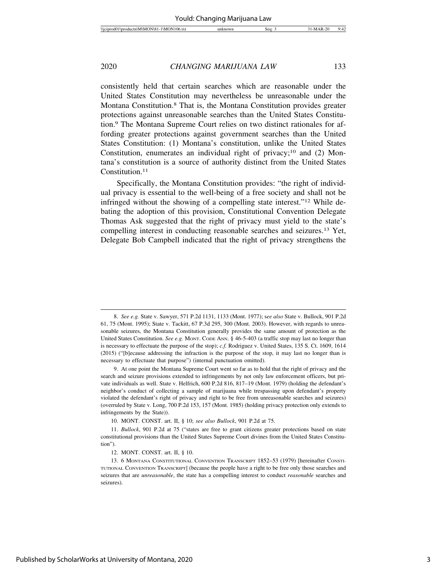consistently held that certain searches which are reasonable under the United States Constitution may nevertheless be unreasonable under the Montana Constitution.8 That is, the Montana Constitution provides greater protections against unreasonable searches than the United States Constitution.9 The Montana Supreme Court relies on two distinct rationales for affording greater protections against government searches than the United States Constitution: (1) Montana's constitution, unlike the United States Constitution, enumerates an individual right of privacy;<sup>10</sup> and (2) Montana's constitution is a source of authority distinct from the United States Constitution.<sup>11</sup>

Specifically, the Montana Constitution provides: "the right of individual privacy is essential to the well-being of a free society and shall not be infringed without the showing of a compelling state interest."12 While debating the adoption of this provision, Constitutional Convention Delegate Thomas Ask suggested that the right of privacy must yield to the state's compelling interest in conducting reasonable searches and seizures.13 Yet, Delegate Bob Campbell indicated that the right of privacy strengthens the

<sup>8.</sup> *See e.g.* State v. Sawyer, 571 P.2d 1131, 1133 (Mont. 1977); s*ee also* State v. Bullock, 901 P.2d 61, 75 (Mont. 1995); State v. Tackitt, 67 P.3d 295, 300 (Mont. 2003). However, with regards to unreasonable seizures, the Montana Constitution generally provides the same amount of protection as the United States Constitution. *See e.g.* MONT. CODE ANN. § 46-5-403 (a traffic stop may last no longer than is necessary to effectuate the purpose of the stop); *c.f.* Rodriguez v. United States, 135 S. Ct. 1609, 1614 (2015) ("[b]ecause addressing the infraction is the purpose of the stop, it may last no longer than is necessary to effectuate that purpose") (internal punctuation omitted).

<sup>9.</sup> At one point the Montana Supreme Court went so far as to hold that the right of privacy and the search and seizure provisions extended to infringements by not only law enforcement officers, but private individuals as well. State v. Helfrich, 600 P.2d 816, 817–19 (Mont. 1979) (holding the defendant's neighbor's conduct of collecting a sample of marijuana while trespassing upon defendant's property violated the defendant's right of privacy and right to be free from unreasonable searches and seizures) (overruled by State v. Long, 700 P.2d 153, 157 (Mont. 1985) (holding privacy protection only extends to infringements by the State)).

<sup>10.</sup> MONT. CONST. art. II, § 10; *see also Bullock*, 901 P.2d at 75.

<sup>11.</sup> *Bullock*, 901 P.2d at 75 ("states are free to grant citizens greater protections based on state constitutional provisions than the United States Supreme Court divines from the United States Constitution").

<sup>12.</sup> MONT. CONST. art. II, § 10.

<sup>13. 6</sup> MONTANA CONSTITUTIONAL CONVENTION TRANSCRIPT 1852–53 (1979) [hereinafter CONSTI-TUTIONAL CONVENTION TRANSCRIPT] (because the people have a right to be free only those searches and seizures that are *unreasonable*, the state has a compelling interest to conduct *reasonable* searches and seizures).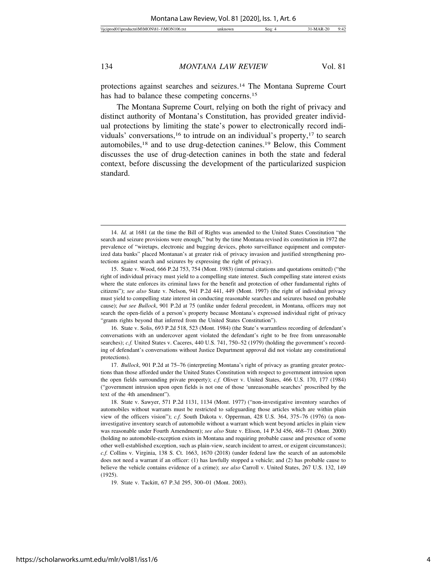protections against searches and seizures.14 The Montana Supreme Court has had to balance these competing concerns.<sup>15</sup>

The Montana Supreme Court, relying on both the right of privacy and distinct authority of Montana's Constitution, has provided greater individual protections by limiting the state's power to electronically record individuals' conversations,<sup>16</sup> to intrude on an individual's property,<sup>17</sup> to search automobiles,18 and to use drug-detection canines.19 Below, this Comment discusses the use of drug-detection canines in both the state and federal context, before discussing the development of the particularized suspicion standard.

16. State v. Solis, 693 P.2d 518, 523 (Mont. 1984) (the State's warrantless recording of defendant's conversations with an undercover agent violated the defendant's right to be free from unreasonable searches); *c.f.* United States v. Caceres, 440 U.S. 741, 750–52 (1979) (holding the government's recording of defendant's conversations without Justice Department approval did not violate any constitutional protections).

17. *Bullock*, 901 P.2d at 75–76 (interpreting Montana's right of privacy as granting greater protections than those afforded under the United States Constitution with respect to government intrusion upon the open fields surrounding private property); *c.f.* Oliver v. United States, 466 U.S. 170, 177 (1984) ("government intrusion upon open fields is not one of those 'unreasonable searches' proscribed by the text of the 4th amendment").

<sup>14.</sup> *Id.* at 1681 (at the time the Bill of Rights was amended to the United States Constitution "the search and seizure provisions were enough," but by the time Montana revised its constitution in 1972 the prevalence of "wiretaps, electronic and bugging devices, photo surveillance equipment and computerized data banks" placed Montanan's at greater risk of privacy invasion and justified strengthening protections against search and seizures by expressing the right of privacy).

<sup>15.</sup> State v. Wood, 666 P.2d 753, 754 (Mont. 1983) (internal citations and quotations omitted) ("the right of individual privacy must yield to a compelling state interest. Such compelling state interest exists where the state enforces its criminal laws for the benefit and protection of other fundamental rights of citizens"); *see also* State v. Nelson, 941 P.2d 441, 449 (Mont. 1997) (the right of individual privacy must yield to compelling state interest in conducting reasonable searches and seizures based on probable cause); *but see Bullock*, 901 P.2d at 75 (unlike under federal precedent, in Montana, officers may not search the open-fields of a person's property because Montana's expressed individual right of privacy "grants rights beyond that inferred from the United States Constitution").

<sup>18.</sup> State v. Sawyer, 571 P.2d 1131, 1134 (Mont. 1977) ("non-investigative inventory searches of automobiles without warrants must be restricted to safeguarding those articles which are within plain view of the officers vision"); *c.f.* South Dakota v. Opperman, 428 U.S. 364, 375–76 (1976) (a noninvestigative inventory search of automobile without a warrant which went beyond articles in plain view was reasonable under Fourth Amendment); *see also* State v. Elison, 14 P.3d 456, 468–71 (Mont. 2000) (holding no automobile-exception exists in Montana and requiring probable cause and presence of some other well-established exception, such as plain-view, search incident to arrest, or exigent circumstances); *c.f.* Collins v. Virginia, 138 S. Ct. 1663, 1670 (2018) (under federal law the search of an automobile does not need a warrant if an officer: (1) has lawfully stopped a vehicle; and (2) has probable cause to believe the vehicle contains evidence of a crime); *see also* Carroll v. United States, 267 U.S. 132, 149 (1925).

<sup>19.</sup> State v. Tackitt, 67 P.3d 295, 300–01 (Mont. 2003).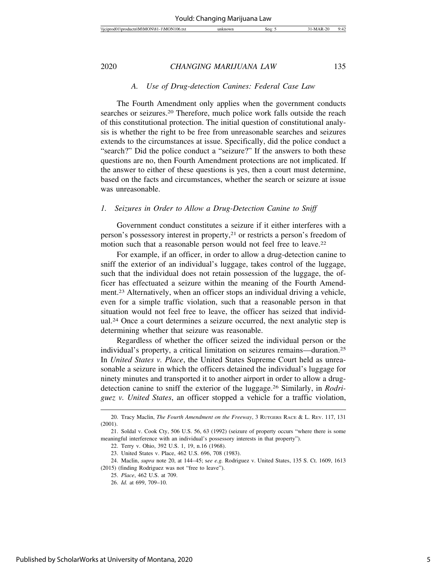#### *A. Use of Drug-detection Canines: Federal Case Law*

The Fourth Amendment only applies when the government conducts searches or seizures.<sup>20</sup> Therefore, much police work falls outside the reach of this constitutional protection. The initial question of constitutional analysis is whether the right to be free from unreasonable searches and seizures extends to the circumstances at issue. Specifically, did the police conduct a "search?" Did the police conduct a "seizure?" If the answers to both these questions are no, then Fourth Amendment protections are not implicated. If the answer to either of these questions is yes, then a court must determine, based on the facts and circumstances, whether the search or seizure at issue was unreasonable.

#### *1. Seizures in Order to Allow a Drug-Detection Canine to Sniff*

Government conduct constitutes a seizure if it either interferes with a person's possessory interest in property,21 or restricts a person's freedom of motion such that a reasonable person would not feel free to leave.22

For example, if an officer, in order to allow a drug-detection canine to sniff the exterior of an individual's luggage, takes control of the luggage, such that the individual does not retain possession of the luggage, the officer has effectuated a seizure within the meaning of the Fourth Amendment.23 Alternatively, when an officer stops an individual driving a vehicle, even for a simple traffic violation, such that a reasonable person in that situation would not feel free to leave, the officer has seized that individual.24 Once a court determines a seizure occurred, the next analytic step is determining whether that seizure was reasonable.

Regardless of whether the officer seized the individual person or the individual's property, a critical limitation on seizures remains—duration.25 In *United States v. Place*, the United States Supreme Court held as unreasonable a seizure in which the officers detained the individual's luggage for ninety minutes and transported it to another airport in order to allow a drugdetection canine to sniff the exterior of the luggage.26 Similarly, in *Rodriguez v. United States*, an officer stopped a vehicle for a traffic violation,

<sup>20.</sup> Tracy Maclin, *The Fourth Amendment on the Freeway*, 3 RUTGERS RACE & L. REV. 117, 131 (2001).

<sup>21.</sup> Soldal v. Cook Cty, 506 U.S. 56, 63 (1992) (seizure of property occurs "where there is some meaningful interference with an individual's possessory interests in that property").

<sup>22.</sup> Terry v. Ohio, 392 U.S. 1, 19, n.16 (1968).

<sup>23.</sup> United States v. Place, 462 U.S. 696, 708 (1983).

<sup>24.</sup> Maclin, *supra* note 20, at 144–45; s*ee e.g.* Rodriguez v. United States, 135 S. Ct. 1609, 1613 (2015) (finding Rodriguez was not "free to leave").

<sup>25.</sup> *Place*, 462 U.S. at 709.

<sup>26.</sup> *Id.* at 699, 709–10.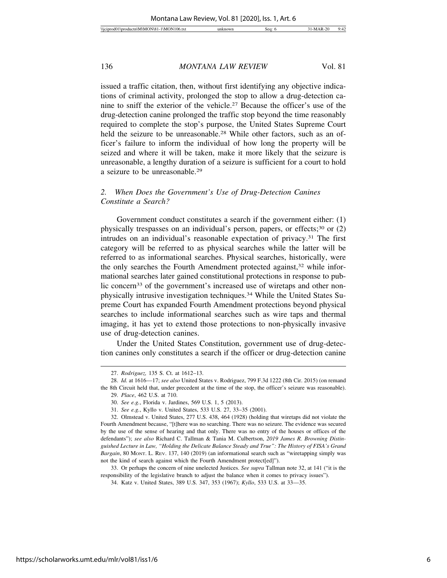issued a traffic citation, then, without first identifying any objective indications of criminal activity, prolonged the stop to allow a drug-detection canine to sniff the exterior of the vehicle.27 Because the officer's use of the drug-detection canine prolonged the traffic stop beyond the time reasonably required to complete the stop's purpose, the United States Supreme Court held the seizure to be unreasonable.<sup>28</sup> While other factors, such as an officer's failure to inform the individual of how long the property will be seized and where it will be taken, make it more likely that the seizure is unreasonable, a lengthy duration of a seizure is sufficient for a court to hold a seizure to be unreasonable.29

#### *2. When Does the Government's Use of Drug-Detection Canines Constitute a Search?*

Government conduct constitutes a search if the government either: (1) physically trespasses on an individual's person, papers, or effects;<sup>30</sup> or (2) intrudes on an individual's reasonable expectation of privacy.31 The first category will be referred to as physical searches while the latter will be referred to as informational searches. Physical searches, historically, were the only searches the Fourth Amendment protected against,<sup>32</sup> while informational searches later gained constitutional protections in response to public concern<sup>33</sup> of the government's increased use of wiretaps and other nonphysically intrusive investigation techniques.34 While the United States Supreme Court has expanded Fourth Amendment protections beyond physical searches to include informational searches such as wire taps and thermal imaging, it has yet to extend those protections to non-physically invasive use of drug-detection canines.

Under the United States Constitution, government use of drug-detection canines only constitutes a search if the officer or drug-detection canine

33. Or perhaps the concern of nine unelected Justices. *See supra* Tallman note 32, at 141 ("it is the responsibility of the legislative branch to adjust the balance when it comes to privacy issues").

<sup>27.</sup> *Rodriguez,* 135 S. Ct. at 1612–13.

<sup>28.</sup> *Id.* at 1616—17; *see also* United States v. Rodriguez, 799 F.3d 1222 (8th Cir. 2015) (on remand the 8th Circuit held that, under precedent at the time of the stop, the officer's seizure was reasonable).

<sup>29.</sup> *Place*, 462 U.S. at 710.

<sup>30.</sup> *See e.g.*, Florida v. Jardines, 569 U.S. 1, 5 (2013).

<sup>31.</sup> *See e.g.*, Kyllo v. United States, 533 U.S. 27, 33–35 (2001).

<sup>32.</sup> Olmstead v. United States, 277 U.S. 438, 464 (1928) (holding that wiretaps did not violate the Fourth Amendment because, "[t]here was no searching. There was no seizure. The evidence was secured by the use of the sense of hearing and that only. There was no entry of the houses or offices of the defendants"); *see also* Richard C. Tallman & Tania M. Culbertson, *2019 James R. Browning Distinguished Lecture in Law, "Holding the Delicate Balance Steady and True": The History of FISA's Grand Bargain*, 80 MONT. L. REV. 137, 140 (2019) (an informational search such as "wiretapping simply was not the kind of search against which the Fourth Amendment protect[ed]").

<sup>34.</sup> Katz v. United States, 389 U.S. 347, 353 (1967); *Kyllo*, 533 U.S. at 33—35.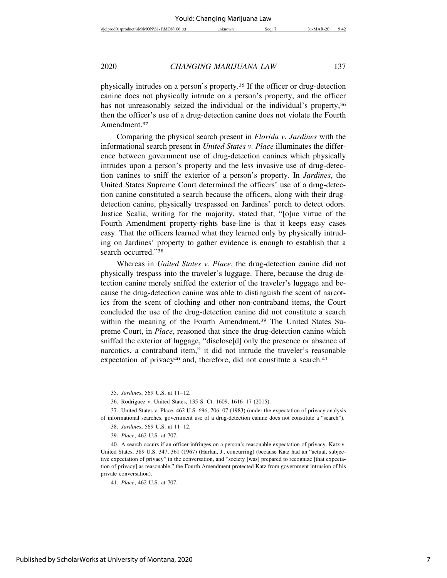| ۱۴<br>$\sqrt{C}$<br><b>Service</b><br>W<br>w | sea | o٥ | $\overline{\phantom{a}}$<br>u٠<br>. .<br>74 |
|----------------------------------------------|-----|----|---------------------------------------------|
|                                              |     |    |                                             |

physically intrudes on a person's property.35 If the officer or drug-detection canine does not physically intrude on a person's property, and the officer has not unreasonably seized the individual or the individual's property,<sup>36</sup> then the officer's use of a drug-detection canine does not violate the Fourth Amendment.37

Comparing the physical search present in *Florida v. Jardines* with the informational search present in *United States v. Place* illuminates the difference between government use of drug-detection canines which physically intrudes upon a person's property and the less invasive use of drug-detection canines to sniff the exterior of a person's property. In *Jardines*, the United States Supreme Court determined the officers' use of a drug-detection canine constituted a search because the officers, along with their drugdetection canine, physically trespassed on Jardines' porch to detect odors. Justice Scalia, writing for the majority, stated that, "[o]ne virtue of the Fourth Amendment property-rights base-line is that it keeps easy cases easy. That the officers learned what they learned only by physically intruding on Jardines' property to gather evidence is enough to establish that a search occurred."38

Whereas in *United States v. Place*, the drug-detection canine did not physically trespass into the traveler's luggage. There, because the drug-detection canine merely sniffed the exterior of the traveler's luggage and because the drug-detection canine was able to distinguish the scent of narcotics from the scent of clothing and other non-contraband items, the Court concluded the use of the drug-detection canine did not constitute a search within the meaning of the Fourth Amendment.<sup>39</sup> The United States Supreme Court, in *Place*, reasoned that since the drug-detection canine which sniffed the exterior of luggage, "disclose[d] only the presence or absence of narcotics, a contraband item," it did not intrude the traveler's reasonable expectation of privacy<sup>40</sup> and, therefore, did not constitute a search.<sup>41</sup>

<sup>35.</sup> *Jardines*, 569 U.S. at 11–12.

<sup>36.</sup> Rodriguez v. United States, 135 S. Ct. 1609, 1616–17 (2015).

<sup>37.</sup> United States v. Place, 462 U.S. 696, 706–07 (1983) (under the expectation of privacy analysis of informational searches, government use of a drug-detection canine does not constitute a "search").

<sup>38.</sup> *Jardines*, 569 U.S. at 11–12.

<sup>39.</sup> *Place*, 462 U.S. at 707.

<sup>40.</sup> A search occurs if an officer infringes on a person's reasonable expectation of privacy. Katz v. United States, 389 U.S. 347, 361 (1967) (Harlan, J., concurring) (because Katz had an "actual, subjective expectation of privacy" in the conversation, and "society [was] prepared to recognize [that expectation of privacy] as reasonable," the Fourth Amendment protected Katz from government intrusion of his private conversation).

<sup>41.</sup> *Place*, 462 U.S. at 707.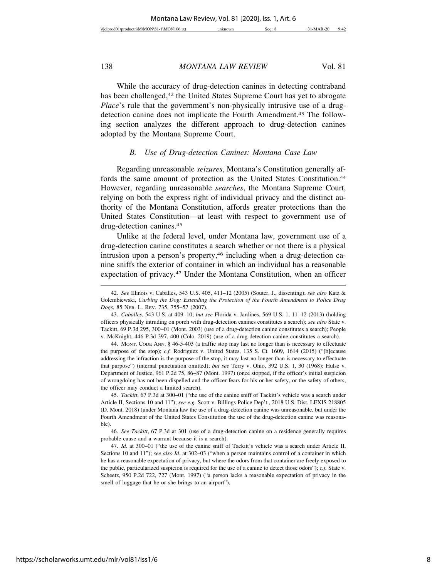While the accuracy of drug-detection canines in detecting contraband has been challenged,<sup>42</sup> the United States Supreme Court has yet to abrogate *Place*'s rule that the government's non-physically intrusive use of a drugdetection canine does not implicate the Fourth Amendment.<sup>43</sup> The following section analyzes the different approach to drug-detection canines adopted by the Montana Supreme Court.

#### *B. Use of Drug-detection Canines: Montana Case Law*

Regarding unreasonable *seizures*, Montana's Constitution generally affords the same amount of protection as the United States Constitution.<sup>44</sup> However, regarding unreasonable *searches*, the Montana Supreme Court, relying on both the express right of individual privacy and the distinct authority of the Montana Constitution, affords greater protections than the United States Constitution—at least with respect to government use of drug-detection canines.45

Unlike at the federal level, under Montana law, government use of a drug-detection canine constitutes a search whether or not there is a physical intrusion upon a person's property,<sup>46</sup> including when a drug-detection canine sniffs the exterior of container in which an individual has a reasonable expectation of privacy.47 Under the Montana Constitution, when an officer

44. MONT. CODE ANN. § 46-5-403 (a traffic stop may last no longer than is necessary to effectuate the purpose of the stop); *c.f.* Rodriguez v. United States, 135 S. Ct. 1609, 1614 (2015) ("[b]ecause addressing the infraction is the purpose of the stop, it may last no longer than is necessary to effectuate that purpose") (internal punctuation omitted); *but see* Terry v. Ohio, 392 U.S. 1, 30 (1968); Hulse v. Department of Justice, 961 P.2d 75, 86–87 (Mont. 1997) (once stopped, if the officer's initial suspicion of wrongdoing has not been dispelled and the officer fears for his or her safety, or the safety of others, the officer may conduct a limited search).

45. *Tackitt*, 67 P.3d at 300–01 ("the use of the canine sniff of Tackitt's vehicle was a search under Article II, Sections 10 and 11"); *see e.g.* Scott v. Billings Police Dep't., 2018 U.S. Dist. LEXIS 218805 (D. Mont. 2018) (under Montana law the use of a drug-detection canine was unreasonable, but under the Fourth Amendment of the United States Constitution the use of the drug-detection canine was reasonahle)

46. *See Tackitt*, 67 P.3d at 301 (use of a drug-detection canine on a residence generally requires probable cause and a warrant because it is a search).

47. *Id.* at 300–01 ("the use of the canine sniff of Tackitt's vehicle was a search under Article II, Sections 10 and 11"); *see also Id.* at 302–03 ("when a person maintains control of a container in which he has a reasonable expectation of privacy, but where the odors from that container are freely exposed to the public, particularized suspicion is required for the use of a canine to detect those odors"); *c.f.* State v. Scheetz, 950 P.2d 722, 727 (Mont. 1997) ("a person lacks a reasonable expectation of privacy in the smell of luggage that he or she brings to an airport").

<sup>42.</sup> *See* Illinois v. Caballes, 543 U.S. 405, 411–12 (2005) (Souter, J., dissenting); *see also* Katz & Golembiewski, *Curbing the Dog: Extending the Protection of the Fourth Amendment to Police Drug Dogs*, 85 NEB. L. REV. 735, 755–57 (2007).

<sup>43.</sup> *Caballes*, 543 U.S. at 409–10; *but see* Florida v. Jardines, 569 U.S. 1, 11–12 (2013) (holding officers physically intruding on porch with drug-detection canines constitutes a search); *see also* State v. Tackitt, 69 P.3d 295, 300–01 (Mont. 2003) (use of a drug-detection canine constitutes a search); People v. McKnight, 446 P.3d 397, 400 (Colo. 2019) (use of a drug-detection canine constitutes a search).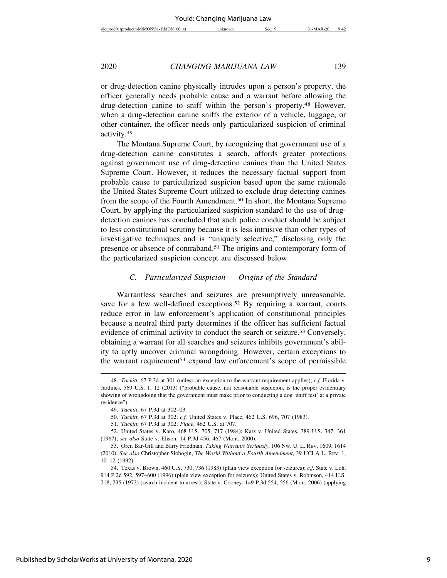| Wich<br>10 <sup>k</sup><br>۱N<br>АM<br>diam'r.<br>וחו<br>. | sec | ״ | $\cdot$<br> |
|------------------------------------------------------------|-----|---|-------------|
|                                                            |     |   |             |

or drug-detection canine physically intrudes upon a person's property, the officer generally needs probable cause and a warrant before allowing the drug-detection canine to sniff within the person's property.48 However, when a drug-detection canine sniffs the exterior of a vehicle, luggage, or other container, the officer needs only particularized suspicion of criminal activity.49

The Montana Supreme Court, by recognizing that government use of a drug-detection canine constitutes a search, affords greater protections against government use of drug-detection canines than the United States Supreme Court. However, it reduces the necessary factual support from probable cause to particularized suspicion based upon the same rationale the United States Supreme Court utilized to exclude drug-detecting canines from the scope of the Fourth Amendment.50 In short, the Montana Supreme Court, by applying the particularized suspicion standard to the use of drugdetection canines has concluded that such police conduct should be subject to less constitutional scrutiny because it is less intrusive than other types of investigative techniques and is "uniquely selective," disclosing only the presence or absence of contraband.<sup>51</sup> The origins and contemporary form of the particularized suspicion concept are discussed below.

#### *C. Particularized Suspicion — Origins of the Standard*

Warrantless searches and seizures are presumptively unreasonable, save for a few well-defined exceptions.<sup>52</sup> By requiring a warrant, courts reduce error in law enforcement's application of constitutional principles because a neutral third party determines if the officer has sufficient factual evidence of criminal activity to conduct the search or seizure.<sup>53</sup> Conversely, obtaining a warrant for all searches and seizures inhibits government's ability to aptly uncover criminal wrongdoing. However, certain exceptions to the warrant requirement<sup>54</sup> expand law enforcement's scope of permissible

<sup>48.</sup> *Tackitt*, 67 P.3d at 301 (unless an exception to the warrant requirement applies); *c.f.* Florida v. Jardines, 569 U.S. 1, 12 (2013) ("probable cause, not reasonable suspicion, is the proper evidentiary showing of wrongdoing that the government must make prior to conducting a dog 'sniff test' at a private residence").

<sup>49.</sup> *Tackitt*, 67 P.3d at 302–03.

<sup>50.</sup> *Tackitt*, 67 P.3d at 302; *c.f.* United States v. Place, 462 U.S. 696, 707 (1983).

<sup>51.</sup> *Tackitt*, 67 P.3d at 302; *Place*, 462 U.S. at 707.

<sup>52.</sup> United States v. Karo, 468 U.S. 705, 717 (1984); Katz v. United States, 389 U.S. 347, 361 (1967); *see also* State v. Elison, 14 P.3d 456, 467 (Mont. 2000).

<sup>53.</sup> Oren Bar-Gill and Barry Friedman, *Taking Warrants Seriously*, 106 NW. U. L. REV. 1609, 1614 (2010). *See also* Christopher Slobogin, *The World Without a Fourth Amendment*, 39 UCLA L. REV. 1, 10–12 (1992).

<sup>54.</sup> Texas v. Brown, 460 U.S. 730, 736 (1983) (plain view exception for seizures); *c.f.* State v. Loh, 914 P.2d 592, 597–600 (1996) (plain view exception for seizures); United States v. Robinson, 414 U.S. 218, 235 (1973) (search incident to arrest); State v. Cooney, 149 P.3d 554, 556 (Mont. 2006) (applying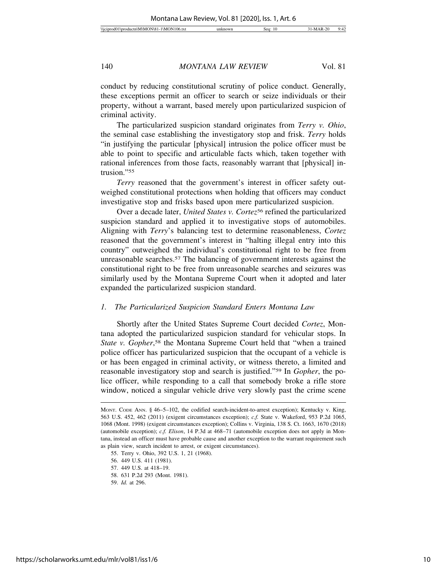conduct by reducing constitutional scrutiny of police conduct. Generally, these exceptions permit an officer to search or seize individuals or their property, without a warrant, based merely upon particularized suspicion of criminal activity.

The particularized suspicion standard originates from *Terry v. Ohio*, the seminal case establishing the investigatory stop and frisk. *Terry* holds "in justifying the particular [physical] intrusion the police officer must be able to point to specific and articulable facts which, taken together with rational inferences from those facts, reasonably warrant that [physical] intrusion."55

*Terry* reasoned that the government's interest in officer safety outweighed constitutional protections when holding that officers may conduct investigative stop and frisks based upon mere particularized suspicion.

Over a decade later, *United States v. Cortez*<sup>56</sup> refined the particularized suspicion standard and applied it to investigative stops of automobiles. Aligning with *Terry*'s balancing test to determine reasonableness, *Cortez* reasoned that the government's interest in "halting illegal entry into this country" outweighed the individual's constitutional right to be free from unreasonable searches.<sup>57</sup> The balancing of government interests against the constitutional right to be free from unreasonable searches and seizures was similarly used by the Montana Supreme Court when it adopted and later expanded the particularized suspicion standard.

#### *1. The Particularized Suspicion Standard Enters Montana Law*

Shortly after the United States Supreme Court decided *Cortez*, Montana adopted the particularized suspicion standard for vehicular stops. In State v. Gopher,<sup>58</sup> the Montana Supreme Court held that "when a trained police officer has particularized suspicion that the occupant of a vehicle is or has been engaged in criminal activity, or witness thereto, a limited and reasonable investigatory stop and search is justified."59 In *Gopher*, the police officer, while responding to a call that somebody broke a rifle store window, noticed a singular vehicle drive very slowly past the crime scene

MONT. CODE ANN. § 46–5–102, the codified search-incident-to-arrest exception); Kentucky v. King, 563 U.S. 452, 462 (2011) (exigent circumstances exception); *c.f.* State v. Wakeford, 953 P.2d 1065, 1068 (Mont. 1998) (exigent circumstances exception); Collins v. Virginia, 138 S. Ct. 1663, 1670 (2018) (automobile exception); *c.f. Elison*, 14 P.3d at 468–71 (automobile exception does not apply in Montana, instead an officer must have probable cause and another exception to the warrant requirement such as plain view, search incident to arrest, or exigent circumstances).

<sup>55.</sup> Terry v. Ohio, 392 U.S. 1, 21 (1968).

<sup>56. 449</sup> U.S. 411 (1981).

<sup>57. 449</sup> U.S. at 418–19.

<sup>58. 631</sup> P.2d 293 (Mont. 1981).

<sup>59.</sup> *Id.* at 296.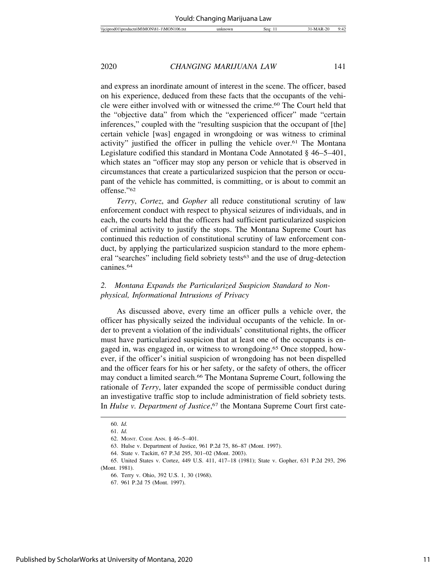and express an inordinate amount of interest in the scene. The officer, based on his experience, deduced from these facts that the occupants of the vehicle were either involved with or witnessed the crime.60 The Court held that the "objective data" from which the "experienced officer" made "certain inferences," coupled with the "resulting suspicion that the occupant of [the] certain vehicle [was] engaged in wrongdoing or was witness to criminal activity" justified the officer in pulling the vehicle over.<sup>61</sup> The Montana Legislature codified this standard in Montana Code Annotated § 46–5–401, which states an "officer may stop any person or vehicle that is observed in circumstances that create a particularized suspicion that the person or occupant of the vehicle has committed, is committing, or is about to commit an offense."62

*Terry*, *Cortez*, and *Gopher* all reduce constitutional scrutiny of law enforcement conduct with respect to physical seizures of individuals, and in each, the courts held that the officers had sufficient particularized suspicion of criminal activity to justify the stops. The Montana Supreme Court has continued this reduction of constitutional scrutiny of law enforcement conduct, by applying the particularized suspicion standard to the more ephemeral "searches" including field sobriety tests63 and the use of drug-detection canines.64

#### *2. Montana Expands the Particularized Suspicion Standard to Nonphysical, Informational Intrusions of Privacy*

As discussed above, every time an officer pulls a vehicle over, the officer has physically seized the individual occupants of the vehicle. In order to prevent a violation of the individuals' constitutional rights, the officer must have particularized suspicion that at least one of the occupants is engaged in, was engaged in, or witness to wrongdoing.65 Once stopped, however, if the officer's initial suspicion of wrongdoing has not been dispelled and the officer fears for his or her safety, or the safety of others, the officer may conduct a limited search.<sup>66</sup> The Montana Supreme Court, following the rationale of *Terry*, later expanded the scope of permissible conduct during an investigative traffic stop to include administration of field sobriety tests. In *Hulse v. Department of Justice*, 67 the Montana Supreme Court first cate-

<sup>60.</sup> *Id.*

<sup>61.</sup> *Id.*

<sup>62.</sup> MONT. CODE ANN. § 46–5–401.

<sup>63.</sup> Hulse v. Department of Justice, 961 P.2d 75, 86–87 (Mont. 1997).

<sup>64.</sup> State v. Tackitt, 67 P.3d 295, 301–02 (Mont. 2003).

<sup>65.</sup> United States v. Cortez, 449 U.S. 411, 417–18 (1981); State v. Gopher, 631 P.2d 293, 296 (Mont. 1981).

<sup>66.</sup> Terry v. Ohio, 392 U.S. 1, 30 (1968).

<sup>67. 961</sup> P.2d 75 (Mont. 1997).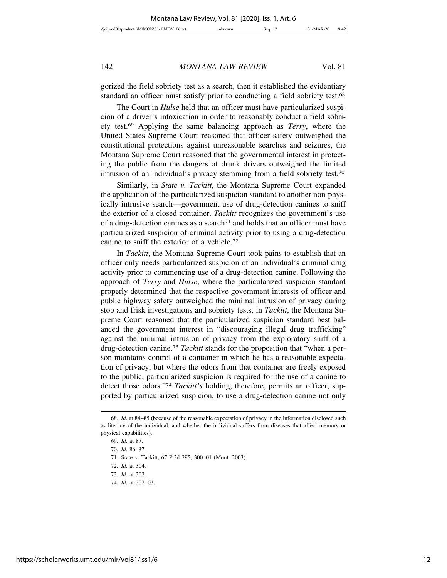gorized the field sobriety test as a search, then it established the evidentiary standard an officer must satisfy prior to conducting a field sobriety test.68

The Court in *Hulse* held that an officer must have particularized suspicion of a driver's intoxication in order to reasonably conduct a field sobriety test.69 Applying the same balancing approach as *Terry*, where the United States Supreme Court reasoned that officer safety outweighed the constitutional protections against unreasonable searches and seizures, the Montana Supreme Court reasoned that the governmental interest in protecting the public from the dangers of drunk drivers outweighed the limited intrusion of an individual's privacy stemming from a field sobriety test.70

Similarly, in *State v. Tackitt*, the Montana Supreme Court expanded the application of the particularized suspicion standard to another non-physically intrusive search—government use of drug-detection canines to sniff the exterior of a closed container. *Tackitt* recognizes the government's use of a drug-detection canines as a search<sup> $71$ </sup> and holds that an officer must have particularized suspicion of criminal activity prior to using a drug-detection canine to sniff the exterior of a vehicle.72

In *Tackitt*, the Montana Supreme Court took pains to establish that an officer only needs particularized suspicion of an individual's criminal drug activity prior to commencing use of a drug-detection canine. Following the approach of *Terry* and *Hulse*, where the particularized suspicion standard properly determined that the respective government interests of officer and public highway safety outweighed the minimal intrusion of privacy during stop and frisk investigations and sobriety tests, in *Tackitt*, the Montana Supreme Court reasoned that the particularized suspicion standard best balanced the government interest in "discouraging illegal drug trafficking" against the minimal intrusion of privacy from the exploratory sniff of a drug-detection canine.73 *Tackitt* stands for the proposition that "when a person maintains control of a container in which he has a reasonable expectation of privacy, but where the odors from that container are freely exposed to the public, particularized suspicion is required for the use of a canine to detect those odors."74 *Tackitt's* holding, therefore, permits an officer, supported by particularized suspicion, to use a drug-detection canine not only

<sup>68.</sup> *Id.* at 84–85 (because of the reasonable expectation of privacy in the information disclosed such as literacy of the individual, and whether the individual suffers from diseases that affect memory or physical capabilities).

<sup>69.</sup> *Id.* at 87.

<sup>70.</sup> *Id.* 86–87.

<sup>71.</sup> State v. Tackitt, 67 P.3d 295, 300–01 (Mont. 2003).

<sup>72.</sup> *Id.* at 304.

<sup>73.</sup> *Id.* at 302.

<sup>74.</sup> *Id.* at 302–03.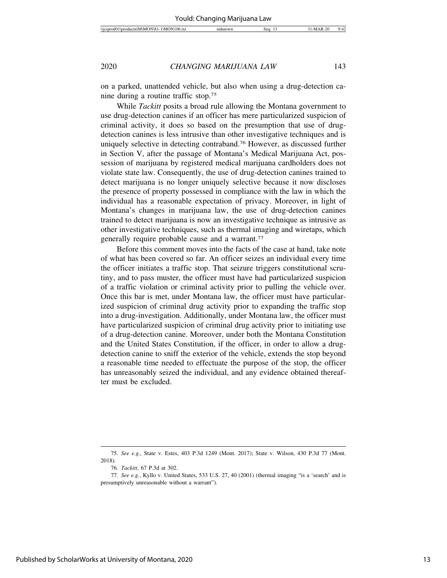on a parked, unattended vehicle, but also when using a drug-detection canine during a routine traffic stop.75

While *Tackitt* posits a broad rule allowing the Montana government to use drug-detection canines if an officer has mere particularized suspicion of criminal activity, it does so based on the presumption that use of drugdetection canines is less intrusive than other investigative techniques and is uniquely selective in detecting contraband.76 However, as discussed further in Section V, after the passage of Montana's Medical Marijuana Act, possession of marijuana by registered medical marijuana cardholders does not violate state law. Consequently, the use of drug-detection canines trained to detect marijuana is no longer uniquely selective because it now discloses the presence of property possessed in compliance with the law in which the individual has a reasonable expectation of privacy. Moreover, in light of Montana's changes in marijuana law, the use of drug-detection canines trained to detect marijuana is now an investigative technique as intrusive as other investigative techniques, such as thermal imaging and wiretaps, which generally require probable cause and a warrant.<sup>77</sup>

Before this comment moves into the facts of the case at hand, take note of what has been covered so far. An officer seizes an individual every time the officer initiates a traffic stop. That seizure triggers constitutional scrutiny, and to pass muster, the officer must have had particularized suspicion of a traffic violation or criminal activity prior to pulling the vehicle over. Once this bar is met, under Montana law, the officer must have particularized suspicion of criminal drug activity prior to expanding the traffic stop into a drug-investigation. Additionally, under Montana law, the officer must have particularized suspicion of criminal drug activity prior to initiating use of a drug-detection canine. Moreover, under both the Montana Constitution and the United States Constitution, if the officer, in order to allow a drugdetection canine to sniff the exterior of the vehicle, extends the stop beyond a reasonable time needed to effectuate the purpose of the stop, the officer has unreasonably seized the individual, and any evidence obtained thereafter must be excluded.

<sup>75.</sup> *See e.g.*, State v. Estes, 403 P.3d 1249 (Mont. 2017); State v. Wilson, 430 P.3d 77 (Mont. 2018).

<sup>76.</sup> *Tackitt*, 67 P.3d at 302.

<sup>77.</sup> *See e.g.*, Kyllo v. United States, 533 U.S. 27, 40 (2001) (thermal imaging "is a 'search' and is presumptively unreasonable without a warrant").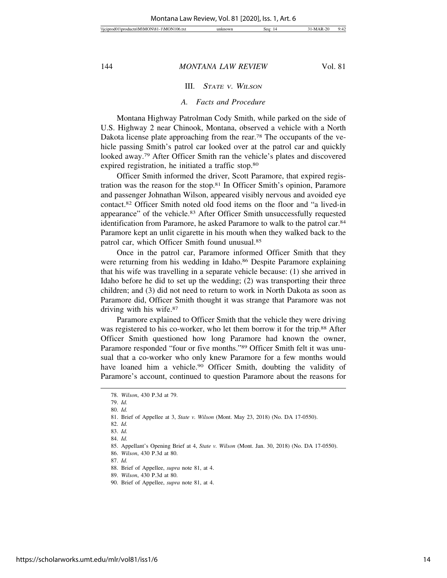#### III. <sup>S</sup>TATE <sup>V</sup>. WILSON

#### *A. Facts and Procedure*

Montana Highway Patrolman Cody Smith, while parked on the side of U.S. Highway 2 near Chinook, Montana, observed a vehicle with a North Dakota license plate approaching from the rear.<sup>78</sup> The occupants of the vehicle passing Smith's patrol car looked over at the patrol car and quickly looked away.79 After Officer Smith ran the vehicle's plates and discovered expired registration, he initiated a traffic stop.80

Officer Smith informed the driver, Scott Paramore, that expired registration was the reason for the stop.81 In Officer Smith's opinion, Paramore and passenger Johnathan Wilson, appeared visibly nervous and avoided eye contact.82 Officer Smith noted old food items on the floor and "a lived-in appearance" of the vehicle.83 After Officer Smith unsuccessfully requested identification from Paramore, he asked Paramore to walk to the patrol car.84 Paramore kept an unlit cigarette in his mouth when they walked back to the patrol car, which Officer Smith found unusual.85

Once in the patrol car, Paramore informed Officer Smith that they were returning from his wedding in Idaho.<sup>86</sup> Despite Paramore explaining that his wife was travelling in a separate vehicle because: (1) she arrived in Idaho before he did to set up the wedding; (2) was transporting their three children; and (3) did not need to return to work in North Dakota as soon as Paramore did, Officer Smith thought it was strange that Paramore was not driving with his wife.87

Paramore explained to Officer Smith that the vehicle they were driving was registered to his co-worker, who let them borrow it for the trip.<sup>88</sup> After Officer Smith questioned how long Paramore had known the owner, Paramore responded "four or five months."89 Officer Smith felt it was unusual that a co-worker who only knew Paramore for a few months would have loaned him a vehicle.<sup>90</sup> Officer Smith, doubting the validity of Paramore's account, continued to question Paramore about the reasons for

80. *Id.*

<sup>78.</sup> *Wilson*, 430 P.3d at 79.

<sup>79.</sup> *Id.*

<sup>81.</sup> Brief of Appellee at 3, *State v. Wilson* (Mont. May 23, 2018) (No. DA 17-0550).

<sup>82.</sup> *Id.*

<sup>83.</sup> *Id.*

<sup>84.</sup> *Id.*

<sup>85.</sup> Appellant's Opening Brief at 4, *State v. Wilson* (Mont. Jan. 30, 2018) (No. DA 17-0550).

<sup>86.</sup> *Wilson*, 430 P.3d at 80.

<sup>87.</sup> *Id.*

<sup>88.</sup> Brief of Appellee, *supra* note 81, at 4.

<sup>89.</sup> *Wilson*, 430 P.3d at 80.

<sup>90.</sup> Brief of Appellee, *supra* note 81, at 4.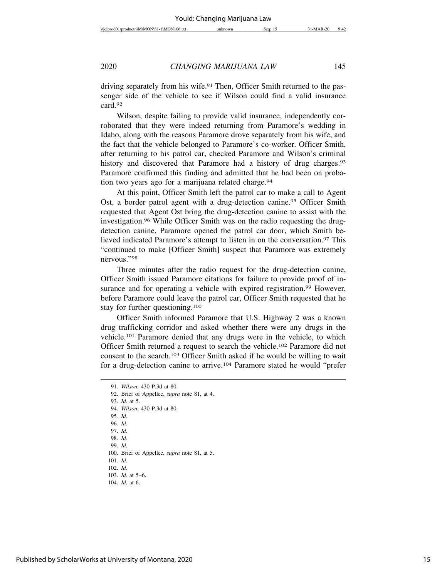driving separately from his wife.91 Then, Officer Smith returned to the passenger side of the vehicle to see if Wilson could find a valid insurance card.92

Wilson, despite failing to provide valid insurance, independently corroborated that they were indeed returning from Paramore's wedding in Idaho, along with the reasons Paramore drove separately from his wife, and the fact that the vehicle belonged to Paramore's co-worker. Officer Smith, after returning to his patrol car, checked Paramore and Wilson's criminal history and discovered that Paramore had a history of drug charges.<sup>93</sup> Paramore confirmed this finding and admitted that he had been on probation two years ago for a marijuana related charge.<sup>94</sup>

At this point, Officer Smith left the patrol car to make a call to Agent Ost, a border patrol agent with a drug-detection canine.<sup>95</sup> Officer Smith requested that Agent Ost bring the drug-detection canine to assist with the investigation.96 While Officer Smith was on the radio requesting the drugdetection canine, Paramore opened the patrol car door, which Smith believed indicated Paramore's attempt to listen in on the conversation.<sup>97</sup> This "continued to make [Officer Smith] suspect that Paramore was extremely nervous."98

Three minutes after the radio request for the drug-detection canine, Officer Smith issued Paramore citations for failure to provide proof of insurance and for operating a vehicle with expired registration.<sup>99</sup> However, before Paramore could leave the patrol car, Officer Smith requested that he stay for further questioning.100

Officer Smith informed Paramore that U.S. Highway 2 was a known drug trafficking corridor and asked whether there were any drugs in the vehicle.101 Paramore denied that any drugs were in the vehicle, to which Officer Smith returned a request to search the vehicle.102 Paramore did not consent to the search.103 Officer Smith asked if he would be willing to wait for a drug-detection canine to arrive.104 Paramore stated he would "prefer

93. *Id.* at 5.

101. *Id.*

<sup>91.</sup> *Wilson*, 430 P.3d at 80.

<sup>92.</sup> Brief of Appellee, *supra* note 81, at 4.

<sup>94.</sup> *Wilson*, 430 P.3d at 80.

<sup>95.</sup> *Id.*

<sup>96.</sup> *Id.*

<sup>97.</sup> *Id.*

<sup>98.</sup> *Id.* 99. *Id.*

<sup>100.</sup> Brief of Appellee, *supra* note 81, at 5.

<sup>102.</sup> *Id.*

<sup>103.</sup> *Id.* at 5–6. 104. *Id.* at 6.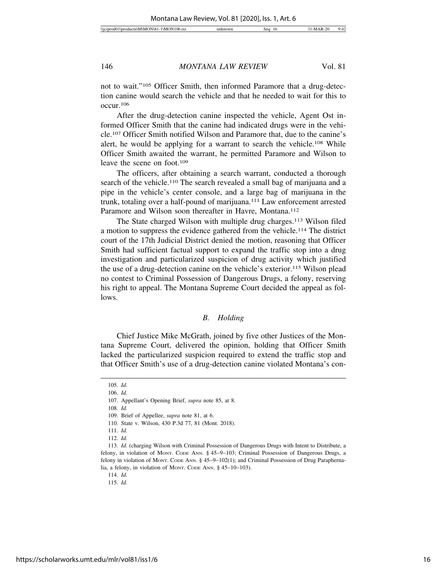not to wait."105 Officer Smith, then informed Paramore that a drug-detection canine would search the vehicle and that he needed to wait for this to occur.106

After the drug-detection canine inspected the vehicle, Agent Ost informed Officer Smith that the canine had indicated drugs were in the vehicle.107 Officer Smith notified Wilson and Paramore that, due to the canine's alert, he would be applying for a warrant to search the vehicle.108 While Officer Smith awaited the warrant, he permitted Paramore and Wilson to leave the scene on foot.109

The officers, after obtaining a search warrant, conducted a thorough search of the vehicle.<sup>110</sup> The search revealed a small bag of marijuana and a pipe in the vehicle's center console, and a large bag of marijuana in the trunk, totaling over a half-pound of marijuana.111 Law enforcement arrested Paramore and Wilson soon thereafter in Havre, Montana.<sup>112</sup>

The State charged Wilson with multiple drug charges.113 Wilson filed a motion to suppress the evidence gathered from the vehicle.114 The district court of the 17th Judicial District denied the motion, reasoning that Officer Smith had sufficient factual support to expand the traffic stop into a drug investigation and particularized suspicion of drug activity which justified the use of a drug-detection canine on the vehicle's exterior.115 Wilson plead no contest to Criminal Possession of Dangerous Drugs, a felony, reserving his right to appeal. The Montana Supreme Court decided the appeal as follows.

#### *B. Holding*

Chief Justice Mike McGrath, joined by five other Justices of the Montana Supreme Court, delivered the opinion, holding that Officer Smith lacked the particularized suspicion required to extend the traffic stop and that Officer Smith's use of a drug-detection canine violated Montana's con-

108. *Id.*

<sup>105.</sup> *Id.*

<sup>106.</sup> *Id.*

<sup>107.</sup> Appellant's Opening Brief, *supra* note 85, at 8.

<sup>109.</sup> Brief of Appellee, *supra* note 81, at 6.

<sup>110.</sup> State v. Wilson, 430 P.3d 77, 81 (Mont. 2018).

<sup>111.</sup> *Id.*

<sup>112.</sup> *Id.*

<sup>113.</sup> *Id.* (charging Wilson with Criminal Possession of Dangerous Drugs with Intent to Distribute, a felony, in violation of MONT. CODE ANN. § 45–9–103; Criminal Possession of Dangerous Drugs, a felony in violation of MONT. CODE ANN. § 45-9-102(1); and Criminal Possession of Drug Paraphernalia, a felony, in violation of MONT. CODE ANN. § 45–10–103).

<sup>114.</sup> *Id.*

<sup>115.</sup> *Id.*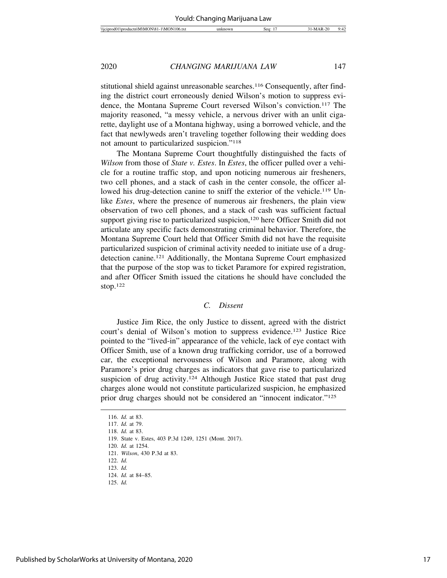stitutional shield against unreasonable searches.<sup>116</sup> Consequently, after finding the district court erroneously denied Wilson's motion to suppress evidence, the Montana Supreme Court reversed Wilson's conviction.117 The majority reasoned, "a messy vehicle, a nervous driver with an unlit cigarette, daylight use of a Montana highway, using a borrowed vehicle, and the fact that newlyweds aren't traveling together following their wedding does not amount to particularized suspicion."118

The Montana Supreme Court thoughtfully distinguished the facts of *Wilson* from those of *State v. Estes*. In *Estes*, the officer pulled over a vehicle for a routine traffic stop, and upon noticing numerous air fresheners, two cell phones, and a stack of cash in the center console, the officer allowed his drug-detection canine to sniff the exterior of the vehicle.<sup>119</sup> Unlike *Estes*, where the presence of numerous air fresheners, the plain view observation of two cell phones, and a stack of cash was sufficient factual support giving rise to particularized suspicion,<sup>120</sup> here Officer Smith did not articulate any specific facts demonstrating criminal behavior. Therefore, the Montana Supreme Court held that Officer Smith did not have the requisite particularized suspicion of criminal activity needed to initiate use of a drugdetection canine.121 Additionally, the Montana Supreme Court emphasized that the purpose of the stop was to ticket Paramore for expired registration, and after Officer Smith issued the citations he should have concluded the stop.122

#### *C. Dissent*

Justice Jim Rice, the only Justice to dissent, agreed with the district court's denial of Wilson's motion to suppress evidence.123 Justice Rice pointed to the "lived-in" appearance of the vehicle, lack of eye contact with Officer Smith, use of a known drug trafficking corridor, use of a borrowed car, the exceptional nervousness of Wilson and Paramore, along with Paramore's prior drug charges as indicators that gave rise to particularized suspicion of drug activity.<sup>124</sup> Although Justice Rice stated that past drug charges alone would not constitute particularized suspicion, he emphasized prior drug charges should not be considered an "innocent indicator."125

<sup>116.</sup> *Id.* at 83.

<sup>117.</sup> *Id.* at 79.

<sup>118.</sup> *Id.* at 83.

<sup>119.</sup> State v. Estes, 403 P.3d 1249, 1251 (Mont. 2017).

<sup>120.</sup> *Id.* at 1254.

<sup>121.</sup> *Wilson*, 430 P.3d at 83.

<sup>122.</sup> *Id.*

<sup>123.</sup> *Id.*

<sup>124.</sup> *Id.* at 84–85.

<sup>125.</sup> *Id.*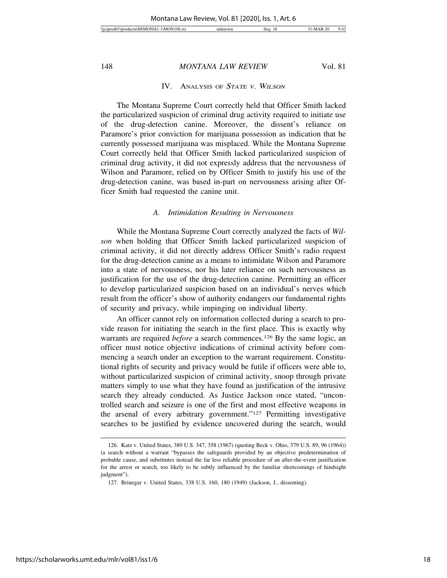#### IV. ANALYSIS OF STATE V. WILSON

The Montana Supreme Court correctly held that Officer Smith lacked the particularized suspicion of criminal drug activity required to initiate use of the drug-detection canine. Moreover, the dissent's reliance on Paramore's prior conviction for marijuana possession as indication that he currently possessed marijuana was misplaced. While the Montana Supreme Court correctly held that Officer Smith lacked particularized suspicion of criminal drug activity, it did not expressly address that the nervousness of Wilson and Paramore, relied on by Officer Smith to justify his use of the drug-detection canine, was based in-part on nervousness arising after Officer Smith had requested the canine unit.

#### *A. Intimidation Resulting in Nervousness*

While the Montana Supreme Court correctly analyzed the facts of *Wilson* when holding that Officer Smith lacked particularized suspicion of criminal activity, it did not directly address Officer Smith's radio request for the drug-detection canine as a means to intimidate Wilson and Paramore into a state of nervousness, nor his later reliance on such nervousness as justification for the use of the drug-detection canine. Permitting an officer to develop particularized suspicion based on an individual's nerves which result from the officer's show of authority endangers our fundamental rights of security and privacy, while impinging on individual liberty.

An officer cannot rely on information collected during a search to provide reason for initiating the search in the first place. This is exactly why warrants are required *before* a search commences.<sup>126</sup> By the same logic, an officer must notice objective indications of criminal activity before commencing a search under an exception to the warrant requirement. Constitutional rights of security and privacy would be futile if officers were able to, without particularized suspicion of criminal activity, snoop through private matters simply to use what they have found as justification of the intrusive search they already conducted. As Justice Jackson once stated, "uncontrolled search and seizure is one of the first and most effective weapons in the arsenal of every arbitrary government."127 Permitting investigative searches to be justified by evidence uncovered during the search, would

<sup>126.</sup> Katz v. United States, 389 U.S. 347, 358 (1967) (quoting Beck v. Ohio, 379 U.S. 89, 96 (1964)) (a search without a warrant "bypasses the safeguards provided by an objective predetermination of probable cause, and substitutes instead the far less reliable procedure of an after-the-event justification for the arrest or search, too likely to be subtly influenced by the familiar shortcomings of hindsight judgment").

<sup>127.</sup> Brinegar v. United States, 338 U.S. 160, 180 (1949) (Jackson, J., dissenting).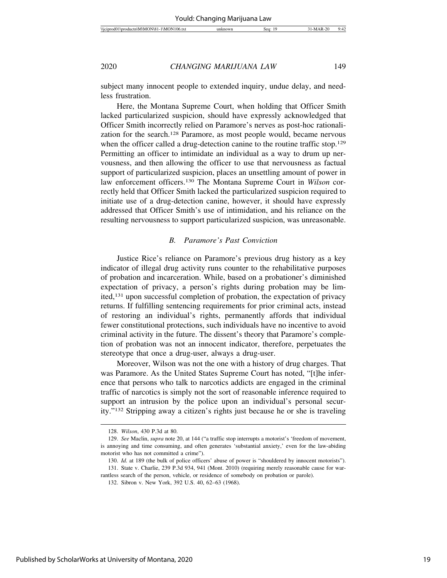| $-$<br>06.1x<br>I \M<br>\\iCIDI<br>١M<br>റവ<br>הו | sec | $\sim$ | $\epsilon$<br>υ٠<br>. .<br>÷. |
|---------------------------------------------------|-----|--------|-------------------------------|
|                                                   |     |        |                               |

subject many innocent people to extended inquiry, undue delay, and needless frustration.

Here, the Montana Supreme Court, when holding that Officer Smith lacked particularized suspicion, should have expressly acknowledged that Officer Smith incorrectly relied on Paramore's nerves as post-hoc rationalization for the search.128 Paramore, as most people would, became nervous when the officer called a drug-detection canine to the routine traffic stop.<sup>129</sup> Permitting an officer to intimidate an individual as a way to drum up nervousness, and then allowing the officer to use that nervousness as factual support of particularized suspicion, places an unsettling amount of power in law enforcement officers.130 The Montana Supreme Court in *Wilson* correctly held that Officer Smith lacked the particularized suspicion required to initiate use of a drug-detection canine, however, it should have expressly addressed that Officer Smith's use of intimidation, and his reliance on the resulting nervousness to support particularized suspicion, was unreasonable.

#### *B. Paramore's Past Conviction*

Justice Rice's reliance on Paramore's previous drug history as a key indicator of illegal drug activity runs counter to the rehabilitative purposes of probation and incarceration. While, based on a probationer's diminished expectation of privacy, a person's rights during probation may be limited,131 upon successful completion of probation, the expectation of privacy returns. If fulfilling sentencing requirements for prior criminal acts, instead of restoring an individual's rights, permanently affords that individual fewer constitutional protections, such individuals have no incentive to avoid criminal activity in the future. The dissent's theory that Paramore's completion of probation was not an innocent indicator, therefore, perpetuates the stereotype that once a drug-user, always a drug-user.

Moreover, Wilson was not the one with a history of drug charges. That was Paramore. As the United States Supreme Court has noted, "[t]he inference that persons who talk to narcotics addicts are engaged in the criminal traffic of narcotics is simply not the sort of reasonable inference required to support an intrusion by the police upon an individual's personal security."132 Stripping away a citizen's rights just because he or she is traveling

<sup>128.</sup> *Wilson*, 430 P.3d at 80.

<sup>129.</sup> *See* Maclin, *supra* note 20, at 144 ("a traffic stop interrupts a motorist's 'freedom of movement, is annoying and time consuming, and often generates 'substantial anxiety,' even for the law-abiding motorist who has not committed a crime").

<sup>130.</sup> *Id.* at 189 (the bulk of police officers' abuse of power is "shouldered by innocent motorists"). 131. State v. Charlie, 239 P.3d 934, 941 (Mont. 2010) (requiring merely reasonable cause for war-

rantless search of the person, vehicle, or residence of somebody on probation or parole).

<sup>132.</sup> Sibron v. New York, 392 U.S. 40, 62–63 (1968).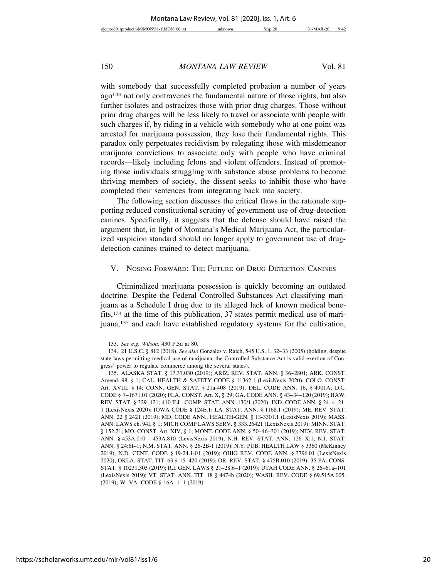with somebody that successfully completed probation a number of years ago133 not only contravenes the fundamental nature of those rights, but also further isolates and ostracizes those with prior drug charges. Those without prior drug charges will be less likely to travel or associate with people with such charges if, by riding in a vehicle with somebody who at one point was arrested for marijuana possession, they lose their fundamental rights. This paradox only perpetuates recidivism by relegating those with misdemeanor marijuana convictions to associate only with people who have criminal records—likely including felons and violent offenders. Instead of promoting those individuals struggling with substance abuse problems to become thriving members of society, the dissent seeks to inhibit those who have completed their sentences from integrating back into society.

The following section discusses the critical flaws in the rationale supporting reduced constitutional scrutiny of government use of drug-detection canines. Specifically, it suggests that the defense should have raised the argument that, in light of Montana's Medical Marijuana Act, the particularized suspicion standard should no longer apply to government use of drugdetection canines trained to detect marijuana.

#### V. NOSING FORWARD: THE FUTURE OF DRUG-DETECTION CANINES

Criminalized marijuana possession is quickly becoming an outdated doctrine. Despite the Federal Controlled Substances Act classifying marijuana as a Schedule I drug due to its alleged lack of known medical benefits,134 at the time of this publication, 37 states permit medical use of marijuana,135 and each have established regulatory systems for the cultivation,

<sup>133.</sup> *See e.g. Wilson*, 430 P.3d at 80.

<sup>134. 21</sup> U.S.C. § 812 (2018). *See also* Gonzales v. Raich, 545 U.S. 1, 32–33 (2005) (holding, despite state laws permitting medical use of marijuana, the Controlled Substance Act is valid exertion of Congress' power to regulate commerce among the several states).

<sup>135.</sup> ALASKA STAT. § 17.37.030 (2019); ARIZ. REV. STAT. ANN. § 36–2801; ARK. CONST. Amend. 98, § 1; CAL. HEALTH & SAFETY CODE § 11362.1 (LexisNexis 2020); COLO. CONST. Art. XVIII, § 14; CONN. GEN. STAT. § 21a-408 (2019); DEL. CODE ANN. 16, § 4901A; D.C. CODE § 7–1671.01 (2020); FLA. CONST. Art. X, § 29; GA. CODE ANN. § 43–34–120 (2019); HAW. REV. STAT. § 329–121; 410 ILL. COMP. STAT. ANN. 130/1 (2020); IND. CODE ANN. § 24–4–21- 1 (LexisNexis 2020); IOWA CODE § 124E.1; LA. STAT. ANN. § 1168.1 (2019); ME. REV. STAT. ANN. 22 § 2421 (2019); MD. CODE ANN., HEALTH-GEN. § 13-3301.1 (LexisNexis 2019); MASS. ANN. LAWS ch. 94I, § 1; MICH COMP LAWS SERV. § 333.26421 (LexisNexis 2019); MINN. STAT. § 152.21; MO. CONST. Art. XIV, § 1; MONT. CODE ANN. § 50–46–301 (2019); NEV. REV. STAT. ANN. § 453A.010 - 453A.810 (LexisNexis 2019); N.H. REV. STAT. ANN. 126–X:1; N.J. STAT. ANN. § 24:6I–1; N.M. STAT. ANN. § 26-2B-1 (2019); N.Y. PUB. HEALTH LAW § 3360 (McKinney 2019); N.D. CENT. CODE § 19-24.1-01 (2019); OHIO REV. CODE ANN. § 3796.01 (LexisNexis 2020); OKLA. STAT. TIT. 63 § 15–420 (2019); OR. REV. STAT. § 475B.010 (2019); 35 PA. CONS. STAT. § 10231.303 (2019); R.I. GEN. LAWS § 21–28.6–1 (2019); UTAH CODE ANN. § 26–61a–101 (LexisNexis 2019); VT. STAT. ANN. TIT. 18 § 4474b (2020); WASH. REV. CODE § 69.515A.005. (2019); W. VA. CODE § 16A–1–1 (2019).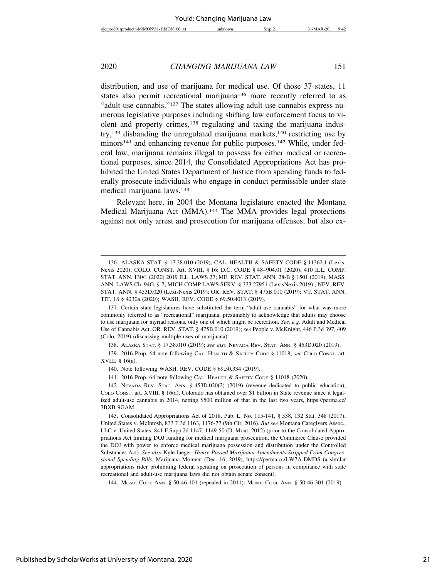distribution, and use of marijuana for medical use. Of those 37 states, 11 states also permit recreational marijuana<sup>136</sup> more recently referred to as "adult-use cannabis."137 The states allowing adult-use cannabis express numerous legislative purposes including shifting law enforcement focus to violent and property crimes,<sup>138</sup> regulating and taxing the marijuana industry,<sup>139</sup> disbanding the unregulated marijuana markets,<sup>140</sup> restricting use by minors<sup>141</sup> and enhancing revenue for public purposes.<sup>142</sup> While, under federal law, marijuana remains illegal to possess for either medical or recreational purposes, since 2014, the Consolidated Appropriations Act has prohibited the United States Department of Justice from spending funds to federally prosecute individuals who engage in conduct permissible under state medical marijuana laws.143

Relevant here, in 2004 the Montana legislature enacted the Montana Medical Marijuana Act (MMA).144 The MMA provides legal protections against not only arrest and prosecution for marijuana offenses, but also ex-

138. ALASKA STAT. § 17.38.010 (2019); *see also* NEVADA REV. STAT. ANN. § 453D.020 (2019).

139. 2016 Prop. 64 note following CAL. HEALTH & SAFETY CODE § 11018; *see* COLO CONST. art. XVIII, § 16(a).

140. Note following WASH. REV. CODE § 69.50.334 (2019).

141. 2016 Prop. 64 note following CAL. HEALTH & SAFETY CODE § 11018 (2020).

144. MONT. CODE ANN. § 50-46-101 (repealed in 2011); MONT. CODE ANN. § 50-46-301 (2019).

<sup>136.</sup> ALASKA STAT. § 17.38.010 (2019); CAL. HEALTH & SAFETY CODE § 11362.1 (Lexis-Nexis 2020); COLO. CONST. Art. XVIII, § 16; D.C. CODE § 48–904.01 (2020); 410 ILL. COMP. STAT. ANN. 130/1 (2020) 2019 ILL. LAWS 27; ME. REV. STAT. ANN. 28-B § 1501 (2019); MASS. ANN. LAWS Ch. 94G, § 7; MICH COMP LAWS SERV. § 333.27951 (LexisNexis 2019).; NEV. REV. STAT. ANN. § 453D.020 (LexisNexis 2019); OR. REV. STAT. § 475B.010 (2019); VT. STAT. ANN. TIT. 18 § 4230a (2020); WASH. REV. CODE § 69.50.4013 (2019).

<sup>137.</sup> Certain state legislatures have substituted the term "adult-use cannabis" for what was more commonly referred to as "recreational" marijuana, presumably to acknowledge that adults may choose to use marijuana for myriad reasons, only one of which might be recreation. *See, e.g.* Adult and Medical Use of Cannabis Act, OR. REV. STAT. § 475B.010 (2019); *see* People v. McKnight, 446 P.3d 397, 409 (Colo. 2019) (discussing multiple uses of marijuana).

<sup>142.</sup> NEVADA REV. STAT. ANN. § 453D.020(2) (2019) (revenue dedicated to public education); COLO CONST. art. XVIII, § 16(a). Colorado has obtained over \$1 billion in State revenue since it legalized adult-use cannabis in 2014, netting \$500 million of that in the last two years, https://perma.cc/ 3BXB-9GAM.

<sup>143.</sup> Consolidated Appropriations Act of 2018, Pub. L. No. 115-141, § 538, 132 Stat. 348 (2017); United States v. McIntosh, 833 F.3d 1163, 1176-77 (9th Cir. 2016). *But see* Montana Caregivers Assoc., LLC v. United States, 841 F.Supp.2d 1147, 1149-50 (D. Mont. 2012) (prior to the Consolidated Appropriations Act limiting DOJ funding for medical marijuana prosecution, the Commerce Clause provided the DOJ with power to enforce medical marijuana possession and distribution under the Controlled Substances Act). *See also* Kyle Jaeger, *House-Passed Marijuana Amendments Stripped From Congressional Spending Bills*, Marijuana Moment (Dec. 16, 2019), https://perma.cc/LW7A-DMDS (a similar appropriations rider prohibiting federal spending on prosecution of persons in compliance with state recreational and adult-use marijuana laws did not obtain senate consent).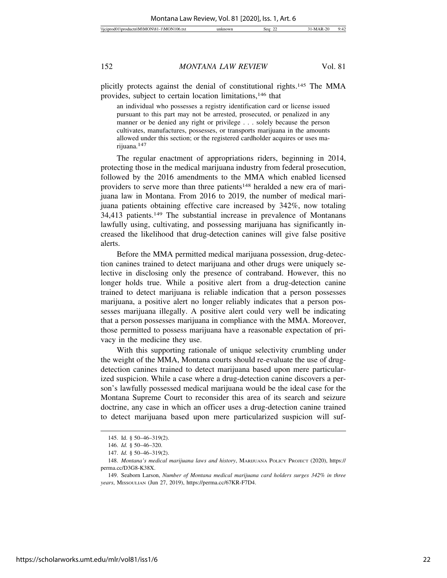plicitly protects against the denial of constitutional rights.145 The MMA provides, subject to certain location limitations,146 that

an individual who possesses a registry identification card or license issued pursuant to this part may not be arrested, prosecuted, or penalized in any manner or be denied any right or privilege . . . solely because the person cultivates, manufactures, possesses, or transports marijuana in the amounts allowed under this section; or the registered cardholder acquires or uses marijuana.147

The regular enactment of appropriations riders, beginning in 2014, protecting those in the medical marijuana industry from federal prosecution, followed by the 2016 amendments to the MMA which enabled licensed providers to serve more than three patients<sup>148</sup> heralded a new era of marijuana law in Montana. From 2016 to 2019, the number of medical marijuana patients obtaining effective care increased by 342%, now totaling 34,413 patients.149 The substantial increase in prevalence of Montanans lawfully using, cultivating, and possessing marijuana has significantly increased the likelihood that drug-detection canines will give false positive alerts.

Before the MMA permitted medical marijuana possession, drug-detection canines trained to detect marijuana and other drugs were uniquely selective in disclosing only the presence of contraband. However, this no longer holds true. While a positive alert from a drug-detection canine trained to detect marijuana is reliable indication that a person possesses marijuana, a positive alert no longer reliably indicates that a person possesses marijuana illegally. A positive alert could very well be indicating that a person possesses marijuana in compliance with the MMA. Moreover, those permitted to possess marijuana have a reasonable expectation of privacy in the medicine they use.

With this supporting rationale of unique selectivity crumbling under the weight of the MMA, Montana courts should re-evaluate the use of drugdetection canines trained to detect marijuana based upon mere particularized suspicion. While a case where a drug-detection canine discovers a person's lawfully possessed medical marijuana would be the ideal case for the Montana Supreme Court to reconsider this area of its search and seizure doctrine, any case in which an officer uses a drug-detection canine trained to detect marijuana based upon mere particularized suspicion will suf-

<sup>145.</sup> Id. § 50–46–319(2).

<sup>146.</sup> *Id.* § 50–46–320.

<sup>147.</sup> *Id.* § 50–46–319(2).

<sup>148.</sup> *Montana's medical marijuana laws and history*, MARIJUANA POLICY PROJECT (2020), https:// perma.cc/D3G8-K38X.

<sup>149.</sup> Seaborn Larson, *Number of Montana medical marijuana card holders surges 342% in three years*, MISSOULIAN (Jun 27, 2019), https://perma.cc/67KR-F7D4.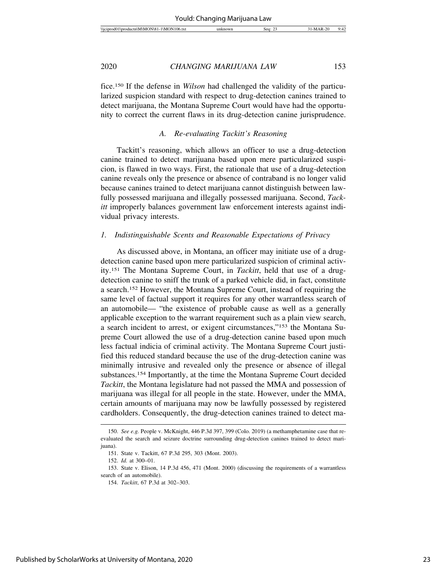| ገራ<br>Wci<br>w<br>$\overline{1}$ | - Sec | ີ<br>$\cdot$<br> |
|----------------------------------|-------|------------------|
|                                  |       |                  |

fice.150 If the defense in *Wilson* had challenged the validity of the particularized suspicion standard with respect to drug-detection canines trained to detect marijuana, the Montana Supreme Court would have had the opportunity to correct the current flaws in its drug-detection canine jurisprudence.

#### *A. Re-evaluating Tackitt's Reasoning*

Tackitt's reasoning, which allows an officer to use a drug-detection canine trained to detect marijuana based upon mere particularized suspicion, is flawed in two ways. First, the rationale that use of a drug-detection canine reveals only the presence or absence of contraband is no longer valid because canines trained to detect marijuana cannot distinguish between lawfully possessed marijuana and illegally possessed marijuana. Second, *Tackitt* improperly balances government law enforcement interests against individual privacy interests.

#### *1. Indistinguishable Scents and Reasonable Expectations of Privacy*

As discussed above, in Montana, an officer may initiate use of a drugdetection canine based upon mere particularized suspicion of criminal activity.151 The Montana Supreme Court, in *Tackitt*, held that use of a drugdetection canine to sniff the trunk of a parked vehicle did, in fact, constitute a search.152 However, the Montana Supreme Court, instead of requiring the same level of factual support it requires for any other warrantless search of an automobile— "the existence of probable cause as well as a generally applicable exception to the warrant requirement such as a plain view search, a search incident to arrest, or exigent circumstances,"153 the Montana Supreme Court allowed the use of a drug-detection canine based upon much less factual indicia of criminal activity. The Montana Supreme Court justified this reduced standard because the use of the drug-detection canine was minimally intrusive and revealed only the presence or absence of illegal substances.154 Importantly, at the time the Montana Supreme Court decided *Tackitt*, the Montana legislature had not passed the MMA and possession of marijuana was illegal for all people in the state. However, under the MMA, certain amounts of marijuana may now be lawfully possessed by registered cardholders. Consequently, the drug-detection canines trained to detect ma-

<sup>150.</sup> *See e.g.* People v. McKnight, 446 P.3d 397, 399 (Colo. 2019) (a methamphetamine case that reevaluated the search and seizure doctrine surrounding drug-detection canines trained to detect marijuana).

<sup>151.</sup> State v. Tackitt, 67 P.3d 295, 303 (Mont. 2003).

<sup>152.</sup> *Id.* at 300–01.

<sup>153.</sup> State v. Elison, 14 P.3d 456, 471 (Mont. 2000) (discussing the requirements of a warrantless search of an automobile).

<sup>154.</sup> *Tackitt*, 67 P.3d at 302–303.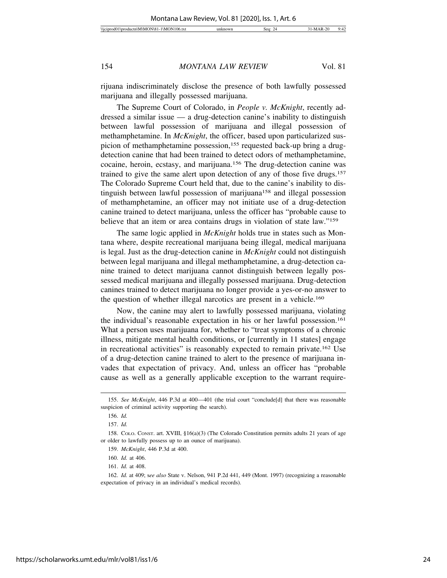rijuana indiscriminately disclose the presence of both lawfully possessed marijuana and illegally possessed marijuana.

The Supreme Court of Colorado, in *People v. McKnight*, recently addressed a similar issue — a drug-detection canine's inability to distinguish between lawful possession of marijuana and illegal possession of methamphetamine. In *McKnight*, the officer, based upon particularized suspicion of methamphetamine possession,155 requested back-up bring a drugdetection canine that had been trained to detect odors of methamphetamine, cocaine, heroin, ecstasy, and marijuana.156 The drug-detection canine was trained to give the same alert upon detection of any of those five drugs.157 The Colorado Supreme Court held that, due to the canine's inability to distinguish between lawful possession of marijuana<sup>158</sup> and illegal possession of methamphetamine, an officer may not initiate use of a drug-detection canine trained to detect marijuana, unless the officer has "probable cause to believe that an item or area contains drugs in violation of state law."159

The same logic applied in *McKnight* holds true in states such as Montana where, despite recreational marijuana being illegal, medical marijuana is legal. Just as the drug-detection canine in *McKnight* could not distinguish between legal marijuana and illegal methamphetamine, a drug-detection canine trained to detect marijuana cannot distinguish between legally possessed medical marijuana and illegally possessed marijuana. Drug-detection canines trained to detect marijuana no longer provide a yes-or-no answer to the question of whether illegal narcotics are present in a vehicle.<sup>160</sup>

Now, the canine may alert to lawfully possessed marijuana, violating the individual's reasonable expectation in his or her lawful possession.161 What a person uses marijuana for, whether to "treat symptoms of a chronic illness, mitigate mental health conditions, or [currently in 11 states] engage in recreational activities" is reasonably expected to remain private.162 Use of a drug-detection canine trained to alert to the presence of marijuana invades that expectation of privacy. And, unless an officer has "probable cause as well as a generally applicable exception to the warrant require-

<sup>155.</sup> *See McKnight*, 446 P.3d at 400—401 (the trial court "conclude[d] that there was reasonable suspicion of criminal activity supporting the search).

<sup>156.</sup> *Id.*

<sup>157.</sup> *Id.*

<sup>158.</sup> COLO. CONST. art. XVIII, §16(a)(3) (The Colorado Constitution permits adults 21 years of age or older to lawfully possess up to an ounce of marijuana).

<sup>159.</sup> *McKnight*, 446 P.3d at 400.

<sup>160.</sup> *Id.* at 406.

<sup>161.</sup> *Id.* at 408.

<sup>162.</sup> *Id.* at 409; s*ee also* State v. Nelson, 941 P.2d 441, 449 (Mont. 1997) (recognizing a reasonable expectation of privacy in an individual's medical records).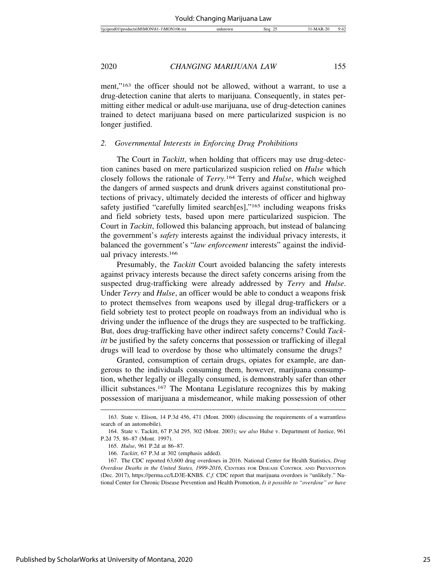| Wici<br>10 <sup>k</sup><br>۱N<br>АM<br>diam'r.<br>,,,,<br>. | Sea | ົ | ۰۰<br>. .<br>т. |
|-------------------------------------------------------------|-----|---|-----------------|
|                                                             |     |   |                 |

ment,"163 the officer should not be allowed, without a warrant, to use a drug-detection canine that alerts to marijuana. Consequently, in states permitting either medical or adult-use marijuana, use of drug-detection canines trained to detect marijuana based on mere particularized suspicion is no longer justified.

#### *2. Governmental Interests in Enforcing Drug Prohibitions*

The Court in *Tackitt*, when holding that officers may use drug-detection canines based on mere particularized suspicion relied on *Hulse* which closely follows the rationale of *Terry.*164 Terry and *Hulse*, which weighed the dangers of armed suspects and drunk drivers against constitutional protections of privacy, ultimately decided the interests of officer and highway safety justified "carefully limited search[es],"165 including weapons frisks and field sobriety tests, based upon mere particularized suspicion. The Court in *Tackitt*, followed this balancing approach, but instead of balancing the government's *safety* interests against the individual privacy interests, it balanced the government's "*law enforcement* interests" against the individual privacy interests.166

Presumably, the *Tackitt* Court avoided balancing the safety interests against privacy interests because the direct safety concerns arising from the suspected drug-trafficking were already addressed by *Terry* and *Hulse*. Under *Terry* and *Hulse*, an officer would be able to conduct a weapons frisk to protect themselves from weapons used by illegal drug-traffickers or a field sobriety test to protect people on roadways from an individual who is driving under the influence of the drugs they are suspected to be trafficking. But, does drug-trafficking have other indirect safety concerns? Could *Tackitt* be justified by the safety concerns that possession or trafficking of illegal drugs will lead to overdose by those who ultimately consume the drugs?

Granted, consumption of certain drugs, opiates for example, are dangerous to the individuals consuming them, however, marijuana consumption, whether legally or illegally consumed, is demonstrably safer than other illicit substances.167 The Montana Legislature recognizes this by making possession of marijuana a misdemeanor, while making possession of other

<sup>163.</sup> State v. Elison, 14 P.3d 456, 471 (Mont. 2000) (discussing the requirements of a warrantless search of an automobile).

<sup>164.</sup> State v. Tackitt, 67 P.3d 295, 302 (Mont. 2003); s*ee also* Hulse v. Department of Justice, 961 P.2d 75, 86–87 (Mont. 1997).

<sup>165.</sup> *Hulse*, 961 P.2d at 86–87.

<sup>166.</sup> *Tackitt*, 67 P.3d at 302 (emphasis added).

<sup>167.</sup> The CDC reported 63,600 drug overdoses in 2016. National Center for Health Statistics, *Drug Overdose Deaths in the United States, 1999-2016*, CENTERS FOR DISEASE CONTROL AND PREVENTION (Dec. 2017), https://perma.cc/LD3E-KNBS. *C.f.* CDC report that marijuana overdoes is "unlikely." National Center for Chronic Disease Prevention and Health Promotion, *Is it possible to "overdose" or have*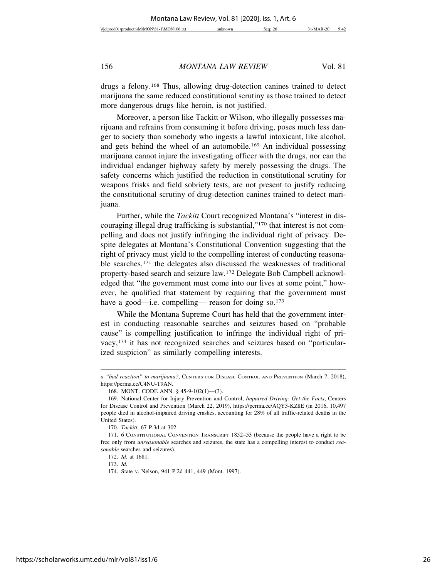drugs a felony.168 Thus, allowing drug-detection canines trained to detect marijuana the same reduced constitutional scrutiny as those trained to detect more dangerous drugs like heroin, is not justified.

Moreover, a person like Tackitt or Wilson, who illegally possesses marijuana and refrains from consuming it before driving, poses much less danger to society than somebody who ingests a lawful intoxicant, like alcohol, and gets behind the wheel of an automobile.169 An individual possessing marijuana cannot injure the investigating officer with the drugs, nor can the individual endanger highway safety by merely possessing the drugs. The safety concerns which justified the reduction in constitutional scrutiny for weapons frisks and field sobriety tests, are not present to justify reducing the constitutional scrutiny of drug-detection canines trained to detect marijuana.

Further, while the *Tackitt* Court recognized Montana's "interest in discouraging illegal drug trafficking is substantial,"170 that interest is not compelling and does not justify infringing the individual right of privacy. Despite delegates at Montana's Constitutional Convention suggesting that the right of privacy must yield to the compelling interest of conducting reasonable searches,<sup>171</sup> the delegates also discussed the weaknesses of traditional property-based search and seizure law.172 Delegate Bob Campbell acknowledged that "the government must come into our lives at some point," however, he qualified that statement by requiring that the government must have a good—i.e. compelling— reason for doing so.<sup>173</sup>

While the Montana Supreme Court has held that the government interest in conducting reasonable searches and seizures based on "probable cause" is compelling justification to infringe the individual right of privacy,174 it has not recognized searches and seizures based on "particularized suspicion" as similarly compelling interests.

*a "bad reaction" to marijuana?*, CENTERS FOR DISEASE CONTROL AND PREVENTION (March 7, 2018), https://perma.cc/C4NU-T9AN.

<sup>168.</sup> MONT. CODE ANN. § 45-9-102(1)—(3).

<sup>169.</sup> National Center for Injury Prevention and Control, *Impaired Driving: Get the Facts*, Centers for Disease Control and Prevention (March 22, 2019), https://perma.cc/AQY3-KZ8E (in 2016, 10,497 people died in alcohol-impaired driving crashes, accounting for 28% of all traffic-related deaths in the United States).

<sup>170.</sup> *Tackitt*, 67 P.3d at 302.

<sup>171. 6</sup> CONSTITUTIONAL CONVENTION TRANSCRIPT 1852–53 (because the people have a right to be free only from *unreasonable* searches and seizures, the state has a compelling interest to conduct *reasonable* searches and seizures).

<sup>172.</sup> *Id.* at 1681.

<sup>173.</sup> *Id.*

<sup>174.</sup> State v. Nelson, 941 P.2d 441, 449 (Mont. 1997).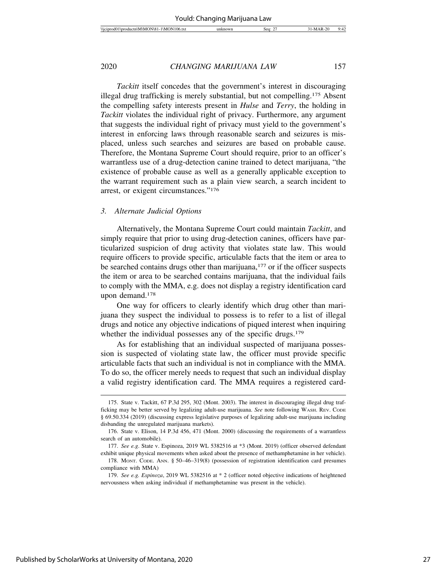*Tackitt* itself concedes that the government's interest in discouraging illegal drug trafficking is merely substantial, but not compelling.175 Absent the compelling safety interests present in *Hulse* and *Terry*, the holding in *Tackitt* violates the individual right of privacy. Furthermore, any argument that suggests the individual right of privacy must yield to the government's interest in enforcing laws through reasonable search and seizures is misplaced, unless such searches and seizures are based on probable cause. Therefore, the Montana Supreme Court should require, prior to an officer's warrantless use of a drug-detection canine trained to detect marijuana, "the existence of probable cause as well as a generally applicable exception to the warrant requirement such as a plain view search, a search incident to arrest, or exigent circumstances."176

#### *3. Alternate Judicial Options*

Alternatively, the Montana Supreme Court could maintain *Tackitt*, and simply require that prior to using drug-detection canines, officers have particularized suspicion of drug activity that violates state law. This would require officers to provide specific, articulable facts that the item or area to be searched contains drugs other than marijuana,<sup>177</sup> or if the officer suspects the item or area to be searched contains marijuana, that the individual fails to comply with the MMA, e.g. does not display a registry identification card upon demand.178

One way for officers to clearly identify which drug other than marijuana they suspect the individual to possess is to refer to a list of illegal drugs and notice any objective indications of piqued interest when inquiring whether the individual possesses any of the specific drugs.<sup>179</sup>

As for establishing that an individual suspected of marijuana possession is suspected of violating state law, the officer must provide specific articulable facts that such an individual is not in compliance with the MMA. To do so, the officer merely needs to request that such an individual display a valid registry identification card. The MMA requires a registered card-

<sup>175.</sup> State v. Tackitt, 67 P.3d 295, 302 (Mont. 2003). The interest in discouraging illegal drug trafficking may be better served by legalizing adult-use marijuana. *See* note following WASH. REV. CODE § 69.50.334 (2019) (discussing express legislative purposes of legalizing adult-use marijuana including disbanding the unregulated marijuana markets).

<sup>176.</sup> State v. Elison, 14 P.3d 456, 471 (Mont. 2000) (discussing the requirements of a warrantless search of an automobile).

<sup>177.</sup> *See e.g*. State v. Espinoza, 2019 WL 5382516 at \*3 (Mont. 2019) (officer observed defendant exhibit unique physical movements when asked about the presence of methamphetamine in her vehicle).

<sup>178.</sup> MONT. CODE. ANN. § 50–46–319(8) (possession of registration identification card presumes compliance with MMA)

<sup>179.</sup> *See e.g. Espinoza*, 2019 WL 5382516 at \* 2 (officer noted objective indications of heightened nervousness when asking individual if methamphetamine was present in the vehicle).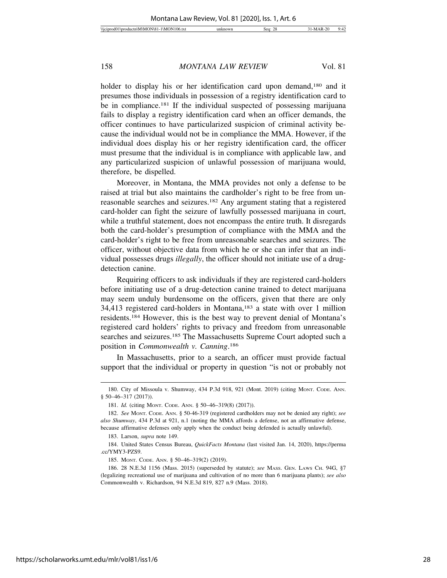holder to display his or her identification card upon demand,<sup>180</sup> and it presumes those individuals in possession of a registry identification card to be in compliance.181 If the individual suspected of possessing marijuana fails to display a registry identification card when an officer demands, the officer continues to have particularized suspicion of criminal activity because the individual would not be in compliance the MMA. However, if the individual does display his or her registry identification card, the officer must presume that the individual is in compliance with applicable law, and any particularized suspicion of unlawful possession of marijuana would, therefore, be dispelled.

Moreover, in Montana, the MMA provides not only a defense to be raised at trial but also maintains the cardholder's right to be free from unreasonable searches and seizures.182 Any argument stating that a registered card-holder can fight the seizure of lawfully possessed marijuana in court, while a truthful statement, does not encompass the entire truth. It disregards both the card-holder's presumption of compliance with the MMA and the card-holder's right to be free from unreasonable searches and seizures. The officer, without objective data from which he or she can infer that an individual possesses drugs *illegally*, the officer should not initiate use of a drugdetection canine.

Requiring officers to ask individuals if they are registered card-holders before initiating use of a drug-detection canine trained to detect marijuana may seem unduly burdensome on the officers, given that there are only 34,413 registered card-holders in Montana,183 a state with over 1 million residents.184 However, this is the best way to prevent denial of Montana's registered card holders' rights to privacy and freedom from unreasonable searches and seizures.185 The Massachusetts Supreme Court adopted such a position in *Commonwealth v. Canning*. 186

In Massachusetts, prior to a search, an officer must provide factual support that the individual or property in question "is not or probably not

<sup>180.</sup> City of Missoula v. Shumway, 434 P.3d 918, 921 (Mont. 2019) (citing MONT. CODE. ANN. § 50-46-317 (2017)).

<sup>181.</sup> *Id.* (citing MONT. CODE. ANN. § 50–46–319(8) (2017)).

<sup>182.</sup> *See* MONT. CODE. ANN. § 50-46-319 (registered cardholders may not be denied any right); *see also Shumway*, 434 P.3d at 921, n.1 (noting the MMA affords a defense, not an affirmative defense, because affirmative defenses only apply when the conduct being defended is actually unlawful).

<sup>183.</sup> Larson, *supra* note 149.

<sup>184.</sup> United States Census Bureau, *QuickFacts Montana* (last visited Jan. 14, 2020), https://perma .cc/YMY3-PZS9.

<sup>185.</sup> MONT. CODE. ANN. § 50–46–319(2) (2019).

<sup>186. 28</sup> N.E.3d 1156 (Mass. 2015) (superseded by statute); *see* MASS. GEN. LAWS CH. 94G, §7 (legalizing recreational use of marijuana and cultivation of no more than 6 marijuana plants); *see also* Commonwealth v. Richardson, 94 N.E.3d 819, 827 n.9 (Mass. 2018).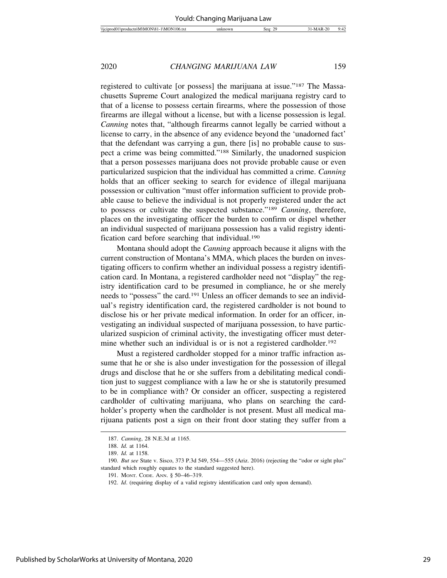registered to cultivate [or possess] the marijuana at issue."187 The Massachusetts Supreme Court analogized the medical marijuana registry card to that of a license to possess certain firearms, where the possession of those firearms are illegal without a license, but with a license possession is legal. *Canning* notes that, "although firearms cannot legally be carried without a license to carry, in the absence of any evidence beyond the 'unadorned fact' that the defendant was carrying a gun, there [is] no probable cause to suspect a crime was being committed."188 Similarly, the unadorned suspicion that a person possesses marijuana does not provide probable cause or even particularized suspicion that the individual has committed a crime. *Canning* holds that an officer seeking to search for evidence of illegal marijuana possession or cultivation "must offer information sufficient to provide probable cause to believe the individual is not properly registered under the act to possess or cultivate the suspected substance."189 *Canning*, therefore, places on the investigating officer the burden to confirm or dispel whether an individual suspected of marijuana possession has a valid registry identification card before searching that individual.190

Montana should adopt the *Canning* approach because it aligns with the current construction of Montana's MMA, which places the burden on investigating officers to confirm whether an individual possess a registry identification card. In Montana, a registered cardholder need not "display" the registry identification card to be presumed in compliance, he or she merely needs to "possess" the card.191 Unless an officer demands to see an individual's registry identification card, the registered cardholder is not bound to disclose his or her private medical information. In order for an officer, investigating an individual suspected of marijuana possession, to have particularized suspicion of criminal activity, the investigating officer must determine whether such an individual is or is not a registered cardholder.<sup>192</sup>

Must a registered cardholder stopped for a minor traffic infraction assume that he or she is also under investigation for the possession of illegal drugs and disclose that he or she suffers from a debilitating medical condition just to suggest compliance with a law he or she is statutorily presumed to be in compliance with? Or consider an officer, suspecting a registered cardholder of cultivating marijuana, who plans on searching the cardholder's property when the cardholder is not present. Must all medical marijuana patients post a sign on their front door stating they suffer from a

<sup>187.</sup> *Canning*, 28 N.E.3d at 1165.

<sup>188.</sup> *Id.* at 1164.

<sup>189.</sup> *Id.* at 1158.

<sup>190.</sup> *But see* State v. Sisco, 373 P.3d 549, 554—555 (Ariz. 2016) (rejecting the "odor or sight plus" standard which roughly equates to the standard suggested here).

<sup>191.</sup> MONT. CODE. ANN. § 50–46–319.

<sup>192.</sup> *Id*. (requiring display of a valid registry identification card only upon demand).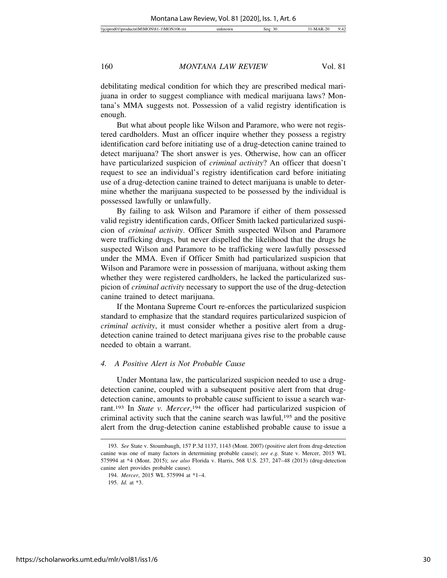debilitating medical condition for which they are prescribed medical marijuana in order to suggest compliance with medical marijuana laws? Montana's MMA suggests not. Possession of a valid registry identification is enough.

But what about people like Wilson and Paramore, who were not registered cardholders. Must an officer inquire whether they possess a registry identification card before initiating use of a drug-detection canine trained to detect marijuana? The short answer is yes. Otherwise, how can an officer have particularized suspicion of *criminal activity*? An officer that doesn't request to see an individual's registry identification card before initiating use of a drug-detection canine trained to detect marijuana is unable to determine whether the marijuana suspected to be possessed by the individual is possessed lawfully or unlawfully.

By failing to ask Wilson and Paramore if either of them possessed valid registry identification cards, Officer Smith lacked particularized suspicion of *criminal activity*. Officer Smith suspected Wilson and Paramore were trafficking drugs, but never dispelled the likelihood that the drugs he suspected Wilson and Paramore to be trafficking were lawfully possessed under the MMA. Even if Officer Smith had particularized suspicion that Wilson and Paramore were in possession of marijuana, without asking them whether they were registered cardholders, he lacked the particularized suspicion of *criminal activity* necessary to support the use of the drug-detection canine trained to detect marijuana.

If the Montana Supreme Court re-enforces the particularized suspicion standard to emphasize that the standard requires particularized suspicion of *criminal activity*, it must consider whether a positive alert from a drugdetection canine trained to detect marijuana gives rise to the probable cause needed to obtain a warrant.

#### *4. A Positive Alert is Not Probable Cause*

Under Montana law, the particularized suspicion needed to use a drugdetection canine, coupled with a subsequent positive alert from that drugdetection canine, amounts to probable cause sufficient to issue a search warrant.<sup>193</sup> In *State v. Mercer*,<sup>194</sup> the officer had particularized suspicion of criminal activity such that the canine search was lawful,195 and the positive alert from the drug-detection canine established probable cause to issue a

<sup>193.</sup> *See* State v. Stoumbaugh, 157 P.3d 1137, 1143 (Mont. 2007) (positive alert from drug-detection canine was one of many factors in determining probable cause); *see e.g.* State v. Mercer, 2015 WL 575994 at \*4 (Mont. 2015); *see also* Florida v. Harris, 568 U.S. 237, 247–48 (2013) (drug-detection canine alert provides probable cause).

<sup>194.</sup> *Mercer*, 2015 WL 575994 at \*1–4.

<sup>195.</sup> *Id.* at \*3.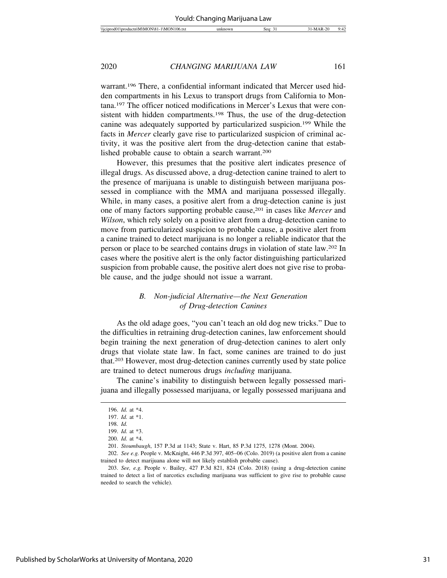warrant.196 There, a confidential informant indicated that Mercer used hidden compartments in his Lexus to transport drugs from California to Montana.197 The officer noticed modifications in Mercer's Lexus that were consistent with hidden compartments.<sup>198</sup> Thus, the use of the drug-detection canine was adequately supported by particularized suspicion.199 While the facts in *Mercer* clearly gave rise to particularized suspicion of criminal activity, it was the positive alert from the drug-detection canine that established probable cause to obtain a search warrant.200

However, this presumes that the positive alert indicates presence of illegal drugs. As discussed above, a drug-detection canine trained to alert to the presence of marijuana is unable to distinguish between marijuana possessed in compliance with the MMA and marijuana possessed illegally. While, in many cases, a positive alert from a drug-detection canine is just one of many factors supporting probable cause,201 in cases like *Mercer* and *Wilson*, which rely solely on a positive alert from a drug-detection canine to move from particularized suspicion to probable cause, a positive alert from a canine trained to detect marijuana is no longer a reliable indicator that the person or place to be searched contains drugs in violation of state law.202 In cases where the positive alert is the only factor distinguishing particularized suspicion from probable cause, the positive alert does not give rise to probable cause, and the judge should not issue a warrant.

#### *B. Non-judicial Alternative—the Next Generation of Drug-detection Canines*

As the old adage goes, "you can't teach an old dog new tricks." Due to the difficulties in retraining drug-detection canines, law enforcement should begin training the next generation of drug-detection canines to alert only drugs that violate state law. In fact, some canines are trained to do just that.203 However, most drug-detection canines currently used by state police are trained to detect numerous drugs *including* marijuana.

The canine's inability to distinguish between legally possessed marijuana and illegally possessed marijuana, or legally possessed marijuana and

<sup>196.</sup> *Id.* at \*4.

<sup>197.</sup> *Id.* at \*1.

<sup>198.</sup> *Id.*

<sup>199.</sup> *Id.* at \*3.

<sup>200.</sup> *Id.* at \*4.

<sup>201.</sup> *Stoumbaugh*, 157 P.3d at 1143; State v. Hart, 85 P.3d 1275, 1278 (Mont. 2004).

<sup>202.</sup> *See e.g.* People v. McKnight, 446 P.3d 397, 405–06 (Colo. 2019) (a positive alert from a canine trained to detect marijuana alone will not likely establish probable cause).

<sup>203.</sup> *See, e.g.* People v. Bailey, 427 P.3d 821, 824 (Colo. 2018) (using a drug-detection canine trained to detect a list of narcotics excluding marijuana was sufficient to give rise to probable cause needed to search the vehicle).